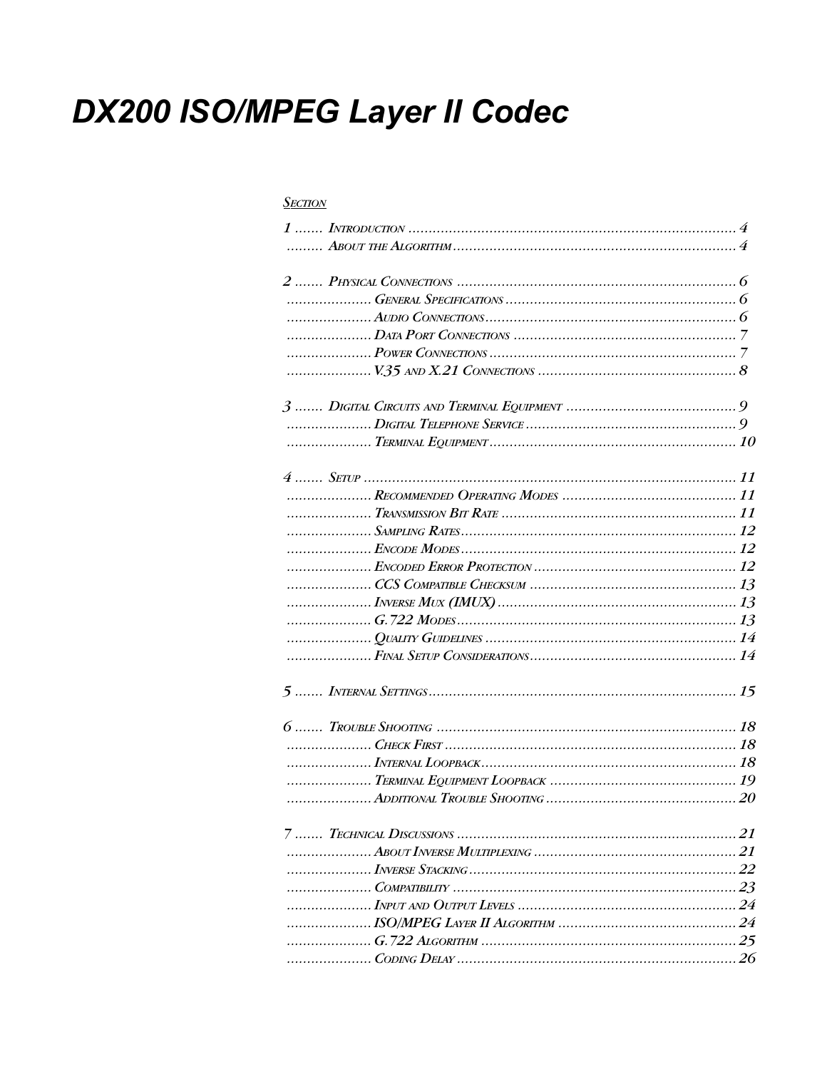# **DX200 ISO/MPEG Layer II Codec**

### **SECTION**

| 1, 2, 3, 4, 5, 6, 7 |  |
|---------------------|--|
|                     |  |
|                     |  |
|                     |  |
|                     |  |
|                     |  |
|                     |  |
|                     |  |
|                     |  |
|                     |  |
|                     |  |
|                     |  |
|                     |  |
|                     |  |
|                     |  |
|                     |  |
|                     |  |
|                     |  |
|                     |  |
|                     |  |
|                     |  |
|                     |  |
|                     |  |
|                     |  |
|                     |  |
|                     |  |
|                     |  |
|                     |  |
|                     |  |
|                     |  |
|                     |  |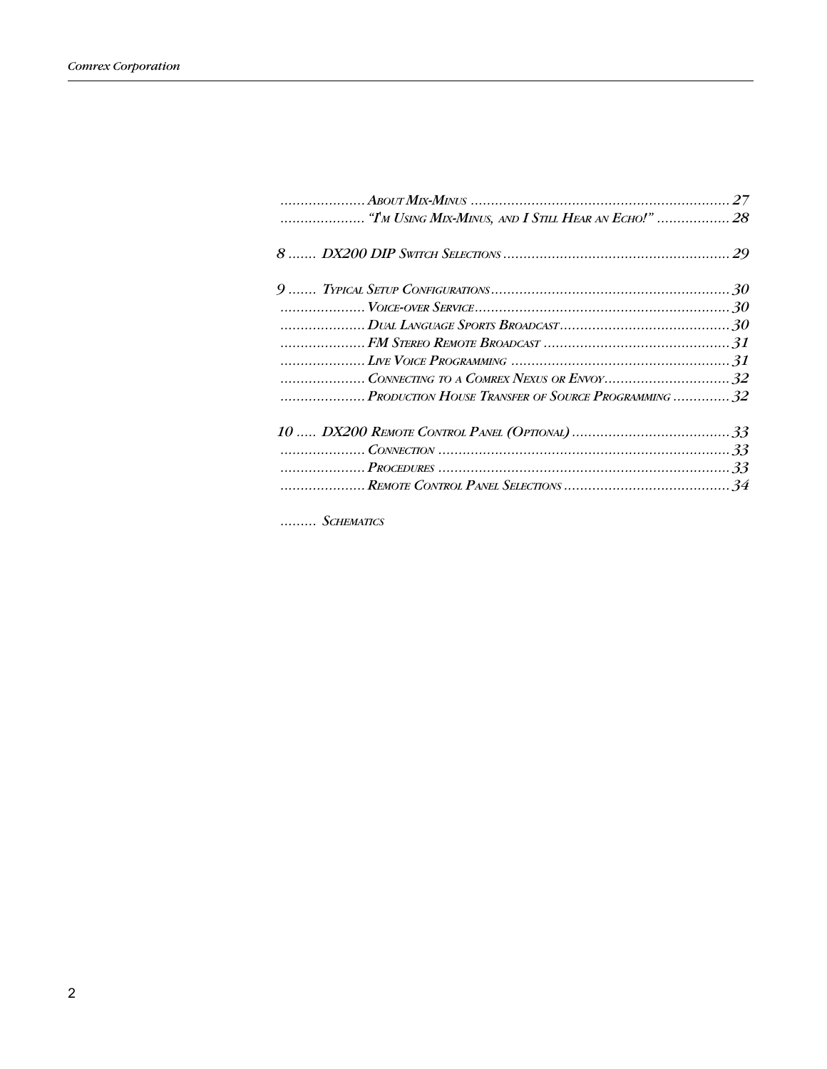| PRODUCTION HOUSE TRANSFER OF SOURCE PROGRAMMING 32 |  |
|----------------------------------------------------|--|
|                                                    |  |
|                                                    |  |
|                                                    |  |
|                                                    |  |

 $\ldots \ldots \ldots \textit{Schematics}$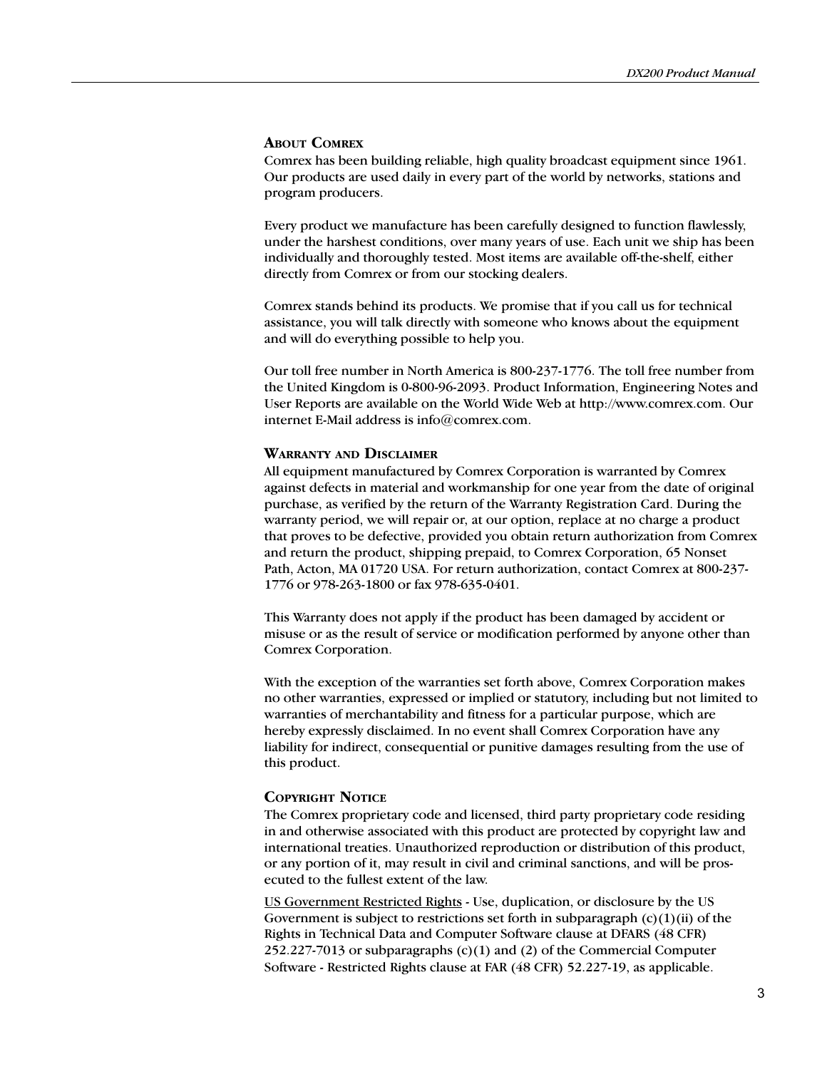### ABOUT COMREX

Comrex has been building reliable, high quality broadcast equipment since 1961. Our products are used daily in every part of the world by networks, stations and program producers.

Every product we manufacture has been carefully designed to function flawlessly, under the harshest conditions, over many years of use. Each unit we ship has been individually and thoroughly tested. Most items are available off-the-shelf, either directly from Comrex or from our stocking dealers.

Comrex stands behind its products. We promise that if you call us for technical assistance, you will talk directly with someone who knows about the equipment and will do everything possible to help you.

Our toll free number in North America is 800-237-1776. The toll free number from the United Kingdom is 0-800-96-2093. Product Information, Engineering Notes and User Reports are available on the World Wide Web at http://www.comrex.com. Our internet E-Mail address is info@comrex.com.

### WARRANTY AND DISCLAIMER

All equipment manufactured by Comrex Corporation is warranted by Comrex against defects in material and workmanship for one year from the date of original purchase, as verified by the return of the Warranty Registration Card. During the warranty period, we will repair or, at our option, replace at no charge a product that proves to be defective, provided you obtain return authorization from Comrex and return the product, shipping prepaid, to Comrex Corporation, 65 Nonset Path, Acton, MA 01720 USA. For return authorization, contact Comrex at 800-237- 1776 or 978-263-1800 or fax 978-635-0401.

This Warranty does not apply if the product has been damaged by accident or misuse or as the result of service or modification performed by anyone other than Comrex Corporation.

With the exception of the warranties set forth above, Comrex Corporation makes no other warranties, expressed or implied or statutory, including but not limited to warranties of merchantability and fitness for a particular purpose, which are hereby expressly disclaimed. In no event shall Comrex Corporation have any liability for indirect, consequential or punitive damages resulting from the use of this product.

### COPYRIGHT NOTICE

The Comrex proprietary code and licensed, third party proprietary code residing in and otherwise associated with this product are protected by copyright law and international treaties. Unauthorized reproduction or distribution of this product, or any portion of it, may result in civil and criminal sanctions, and will be prosecuted to the fullest extent of the law.

US Government Restricted Rights - Use, duplication, or disclosure by the US Government is subject to restrictions set forth in subparagraph  $(c)(1)(ii)$  of the Rights in Technical Data and Computer Software clause at DFARS (48 CFR) 252.227-7013 or subparagraphs (c)(1) and (2) of the Commercial Computer Software - Restricted Rights clause at FAR (48 CFR) 52.227-19, as applicable.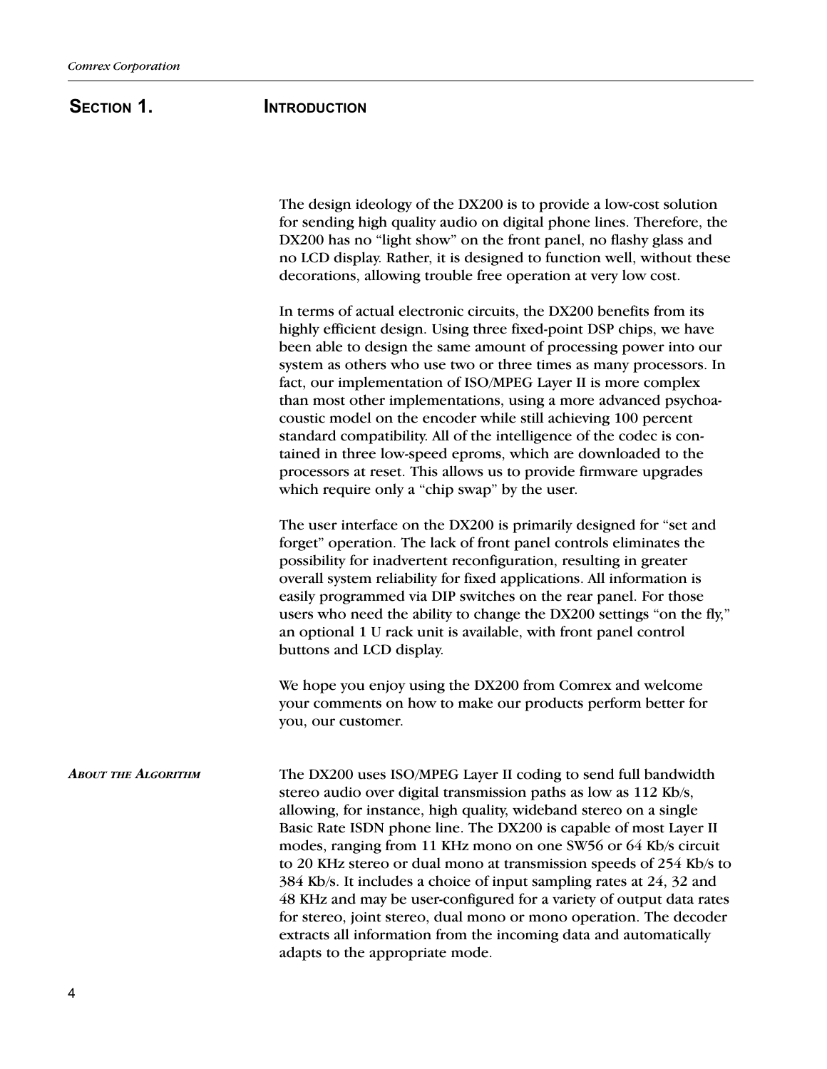# SECTION 1. **INTRODUCTION**

The design ideology of the DX200 is to provide a low-cost solution for sending high quality audio on digital phone lines. Therefore, the DX200 has no "light show" on the front panel, no flashy glass and no LCD display. Rather, it is designed to function well, without these decorations, allowing trouble free operation at very low cost.

In terms of actual electronic circuits, the DX200 benefits from its highly efficient design. Using three fixed-point DSP chips, we have been able to design the same amount of processing power into our system as others who use two or three times as many processors. In fact, our implementation of ISO/MPEG Layer II is more complex than most other implementations, using a more advanced psychoacoustic model on the encoder while still achieving 100 percent standard compatibility. All of the intelligence of the codec is contained in three low-speed eproms, which are downloaded to the processors at reset. This allows us to provide firmware upgrades which require only a "chip swap" by the user.

The user interface on the DX200 is primarily designed for "set and forget" operation. The lack of front panel controls eliminates the possibility for inadvertent reconfiguration, resulting in greater overall system reliability for fixed applications. All information is easily programmed via DIP switches on the rear panel. For those users who need the ability to change the DX200 settings "on the fly," an optional 1 U rack unit is available, with front panel control buttons and LCD display.

We hope you enjoy using the DX200 from Comrex and welcome your comments on how to make our products perform better for you, our customer.

**ABOUT THE ALGORITHM** The DX200 uses ISO/MPEG Layer II coding to send full bandwidth stereo audio over digital transmission paths as low as 112 Kb/s, allowing, for instance, high quality, wideband stereo on a single Basic Rate ISDN phone line. The DX200 is capable of most Layer II modes, ranging from 11 KHz mono on one SW56 or 64 Kb/s circuit to 20 KHz stereo or dual mono at transmission speeds of 254 Kb/s to 384 Kb/s. It includes a choice of input sampling rates at 24, 32 and 48 KHz and may be user-configured for a variety of output data rates for stereo, joint stereo, dual mono or mono operation. The decoder extracts all information from the incoming data and automatically adapts to the appropriate mode.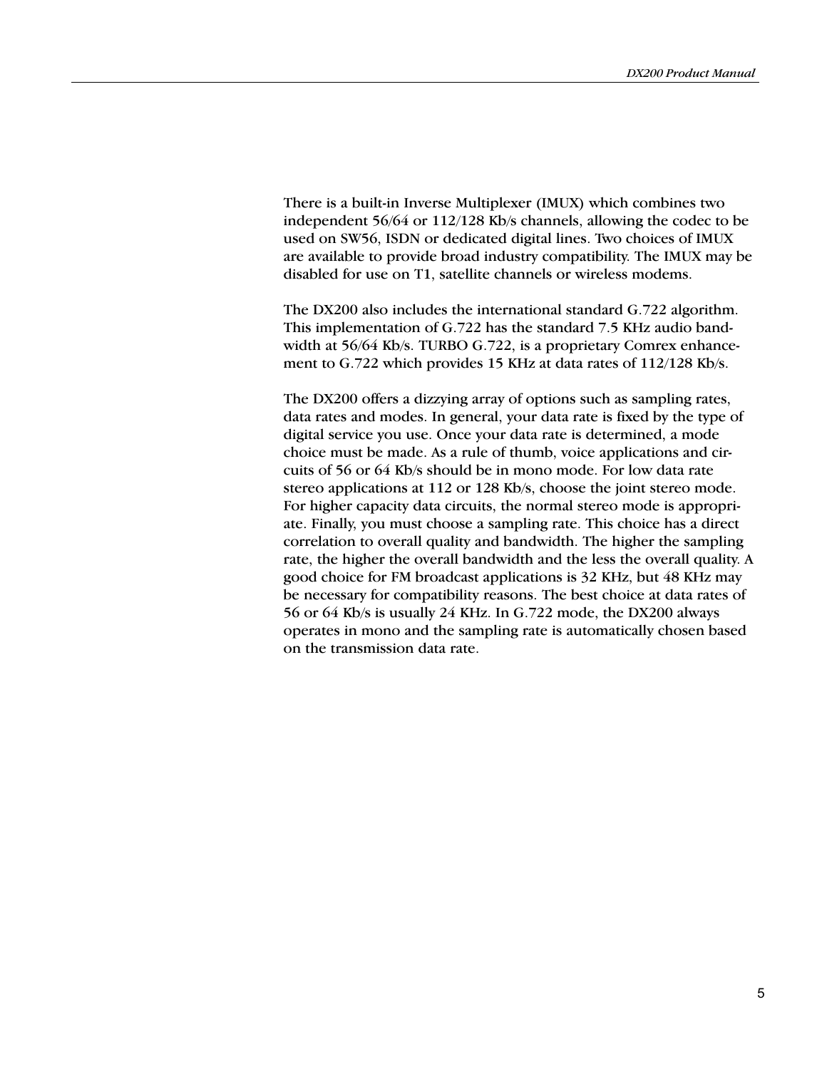There is a built-in Inverse Multiplexer (IMUX) which combines two independent 56/64 or 112/128 Kb/s channels, allowing the codec to be used on SW56, ISDN or dedicated digital lines. Two choices of IMUX are available to provide broad industry compatibility. The IMUX may be disabled for use on T1, satellite channels or wireless modems.

The DX200 also includes the international standard G.722 algorithm. This implementation of G.722 has the standard 7.5 KHz audio bandwidth at 56/64 Kb/s. TURBO G.722, is a proprietary Comrex enhancement to G.722 which provides 15 KHz at data rates of 112/128 Kb/s.

The DX200 offers a dizzying array of options such as sampling rates, data rates and modes. In general, your data rate is fixed by the type of digital service you use. Once your data rate is determined, a mode choice must be made. As a rule of thumb, voice applications and circuits of 56 or 64 Kb/s should be in mono mode. For low data rate stereo applications at 112 or 128 Kb/s, choose the joint stereo mode. For higher capacity data circuits, the normal stereo mode is appropriate. Finally, you must choose a sampling rate. This choice has a direct correlation to overall quality and bandwidth. The higher the sampling rate, the higher the overall bandwidth and the less the overall quality. A good choice for FM broadcast applications is 32 KHz, but 48 KHz may be necessary for compatibility reasons. The best choice at data rates of 56 or 64 Kb/s is usually 24 KHz. In G.722 mode, the DX200 always operates in mono and the sampling rate is automatically chosen based on the transmission data rate.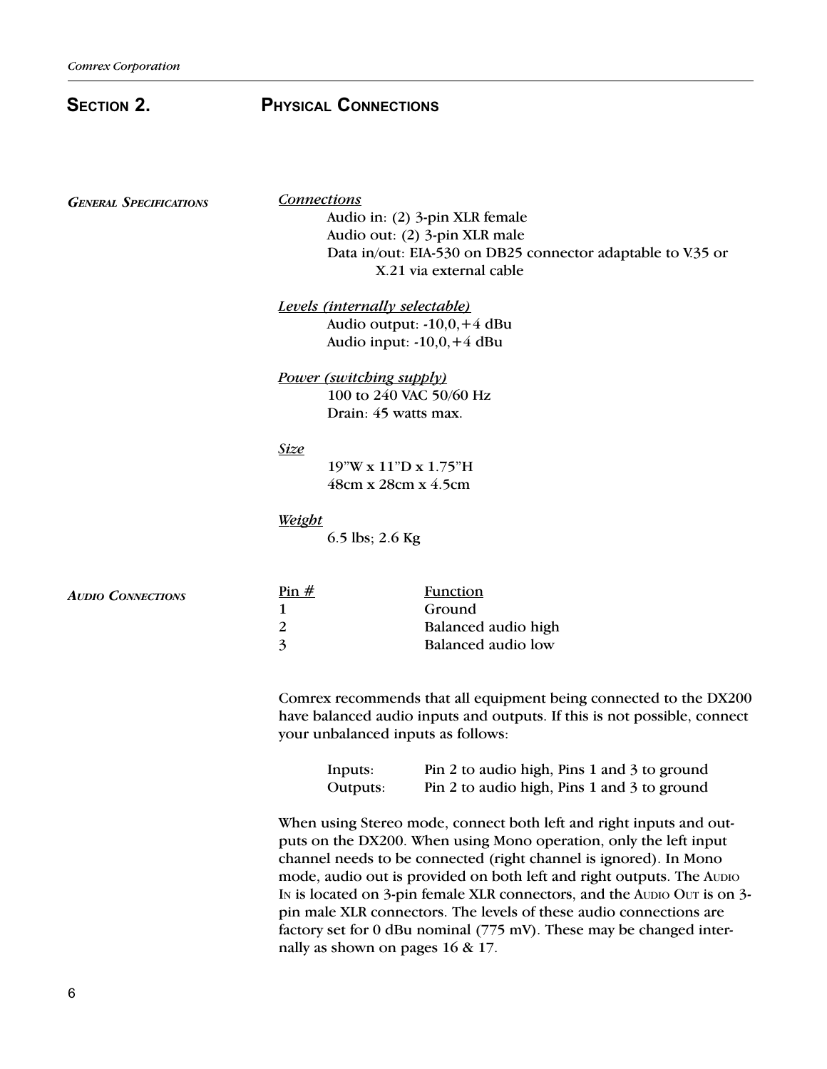| <b>SECTION 2.</b>             | <b>PHYSICAL CONNECTIONS</b>           |                                                                                                                                                                                     |
|-------------------------------|---------------------------------------|-------------------------------------------------------------------------------------------------------------------------------------------------------------------------------------|
| <b>GENERAL SPECIFICATIONS</b> | <b>Connections</b>                    | Audio in: (2) 3-pin XLR female<br>Audio out: (2) 3-pin XLR male<br>Data in/out: EIA-530 on DB25 connector adaptable to V.35 or<br>X.21 via external cable                           |
|                               | <b>Levels (internally selectable)</b> | Audio output: $-10,0, +4$ dBu<br>Audio input: $-10,0, +4$ dBu                                                                                                                       |
|                               | <b>Power (switching supply)</b>       | 100 to 240 VAC 50/60 Hz<br>Drain: 45 watts max.                                                                                                                                     |
|                               | <b>Size</b>                           | 19"W x 11"D x 1.75"H<br>48cm x 28cm x 4.5cm                                                                                                                                         |
|                               | <b>Weight</b><br>6.5 lbs; $2.6$ Kg    |                                                                                                                                                                                     |
| <b>AUDIO CONNECTIONS</b>      | Pin $#$<br>1<br>$\overline{2}$<br>3   | <b>Function</b><br>Ground<br>Balanced audio high<br><b>Balanced</b> audio low                                                                                                       |
|                               |                                       | Comrex recommends that all equipment being connected to the DX200<br>have balanced audio inputs and outputs. If this is not possible, connect<br>your unbalanced inputs as follows: |
|                               | Inputs:<br>Outputs:                   | Pin 2 to audio high, Pins 1 and 3 to ground<br>Pin 2 to audio high, Pins 1 and 3 to ground                                                                                          |

When using Stereo mode, connect both left and right inputs and outputs on the DX200. When using Mono operation, only the left input channel needs to be connected (right channel is ignored). In Mono mode, audio out is provided on both left and right outputs. The AUDIO IN is located on 3-pin female XLR connectors, and the AUDIO OUT is on 3 pin male XLR connectors. The levels of these audio connections are factory set for 0 dBu nominal (775 mV). These may be changed internally as shown on pages 16 & 17.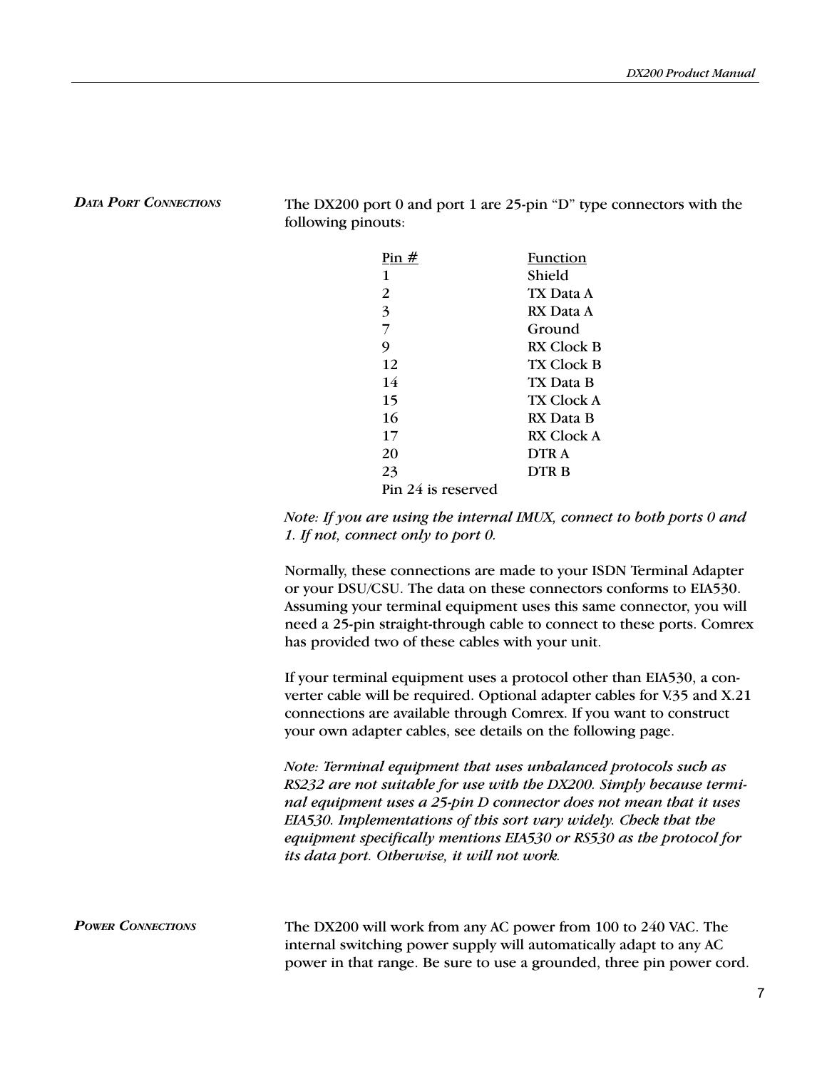DATA PORT CONNECTIONS The DX200 port 0 and port 1 are 25-pin "D" type connectors with the following pinouts:

| Pin $#$            | Function          |
|--------------------|-------------------|
| 1                  | Shield            |
| 2                  | TX Data A         |
| 3                  | RX Data A         |
| 7                  | Ground            |
| 9                  | RX Clock B        |
| 12                 | <b>TX Clock B</b> |
| 14                 | TX Data B         |
| 15                 | TX Clock A        |
| 16                 | RX Data B         |
| 17                 | RX Clock A        |
| 20                 | DTR A             |
| 23                 | DTR B             |
| Pin 24 is reserved |                   |

Note: If you are using the internal IMUX, connect to both ports 0 and 1. If not, connect only to port 0.

Normally, these connections are made to your ISDN Terminal Adapter or your DSU/CSU. The data on these connectors conforms to EIA530. Assuming your terminal equipment uses this same connector, you will need a 25-pin straight-through cable to connect to these ports. Comrex has provided two of these cables with your unit.

If your terminal equipment uses a protocol other than EIA530, a converter cable will be required. Optional adapter cables for V.35 and X.21 connections are available through Comrex. If you want to construct your own adapter cables, see details on the following page.

Note: Terminal equipment that uses unbalanced protocols such as RS232 are not suitable for use with the DX200. Simply because terminal equipment uses a 25-pin D connector does not mean that it uses EIA530. Implementations of this sort vary widely. Check that the equipment specifically mentions EIA530 or RS530 as the protocol for its data port. Otherwise, it will not work.

**POWER CONNECTIONS** The DX200 will work from any AC power from 100 to 240 VAC. The internal switching power supply will automatically adapt to any AC power in that range. Be sure to use a grounded, three pin power cord.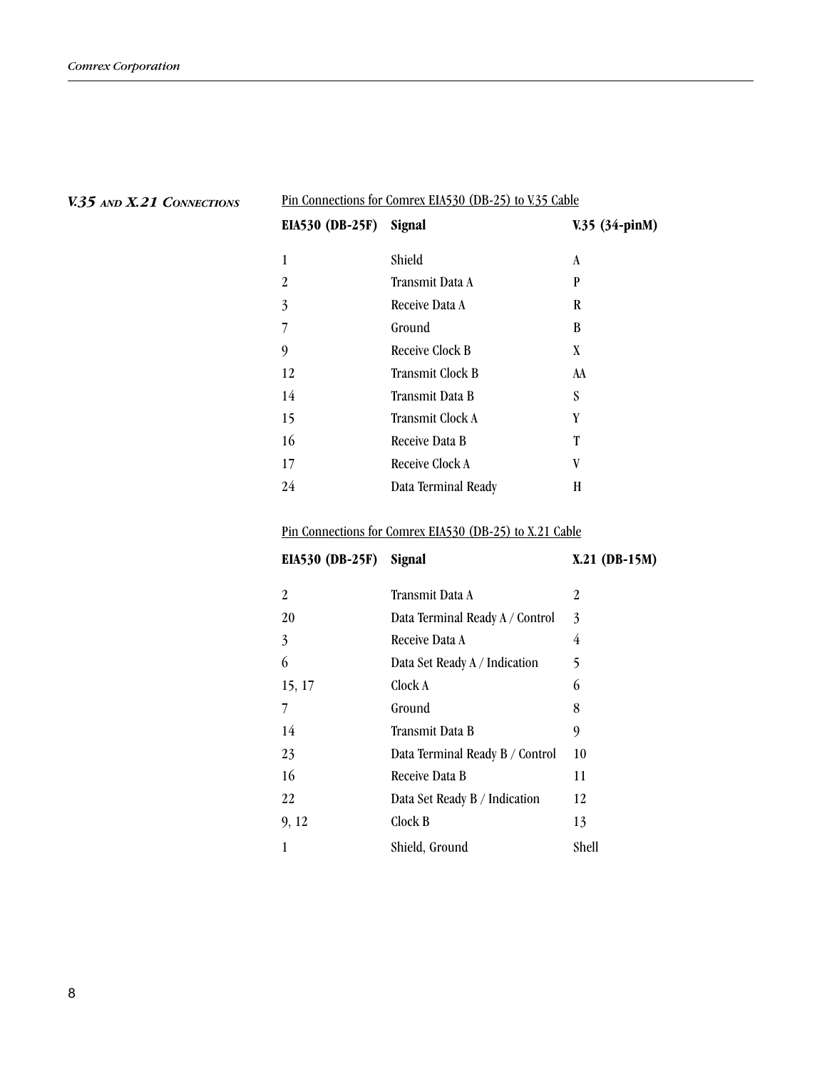| <b>EIA530 (DB-25F)</b> | Signal              | V.35 (34-pinM) |
|------------------------|---------------------|----------------|
| 1                      | Shield              | A              |
| 2                      | Transmit Data A     | P              |
| 3                      | Receive Data A      | R              |
| 7                      | Ground              | B              |
| 9                      | Receive Clock B     | X              |
| 12                     | Transmit Clock B    | AA             |
| 14                     | Transmit Data B     | S              |
| 15                     | Transmit Clock A    | Y              |
| 16                     | Receive Data B      | T              |
| 17                     | Receive Clock A     | V              |
| 24                     | Data Terminal Ready | H              |
|                        |                     |                |

Pin Connections for Comrex EIA530 (DB-25) to V.35 Cable

## V.35 AND X.21 CONNECTIONS

# Pin Connections for Comrex EIA530 (DB-25) to X.21 Cable

EIA530 (DB-25F) Signal X.21 (DB-15M)

| 2      | Transmit Data A                 | 2     |
|--------|---------------------------------|-------|
| 20     | Data Terminal Ready A / Control | 3     |
| 3      | Receive Data A                  | 4     |
| 6      | Data Set Ready A / Indication   | 5     |
| 15, 17 | Clock A                         | 6     |
|        | Ground                          | 8     |
| 14     | Transmit Data B                 | 9     |
| 23     | Data Terminal Ready B / Control | 10    |
| 16     | Receive Data B                  | 11    |
| 22     | Data Set Ready B / Indication   | 12    |
| 9, 12  | Clock B                         | 13    |
|        | Shield, Ground                  | Shell |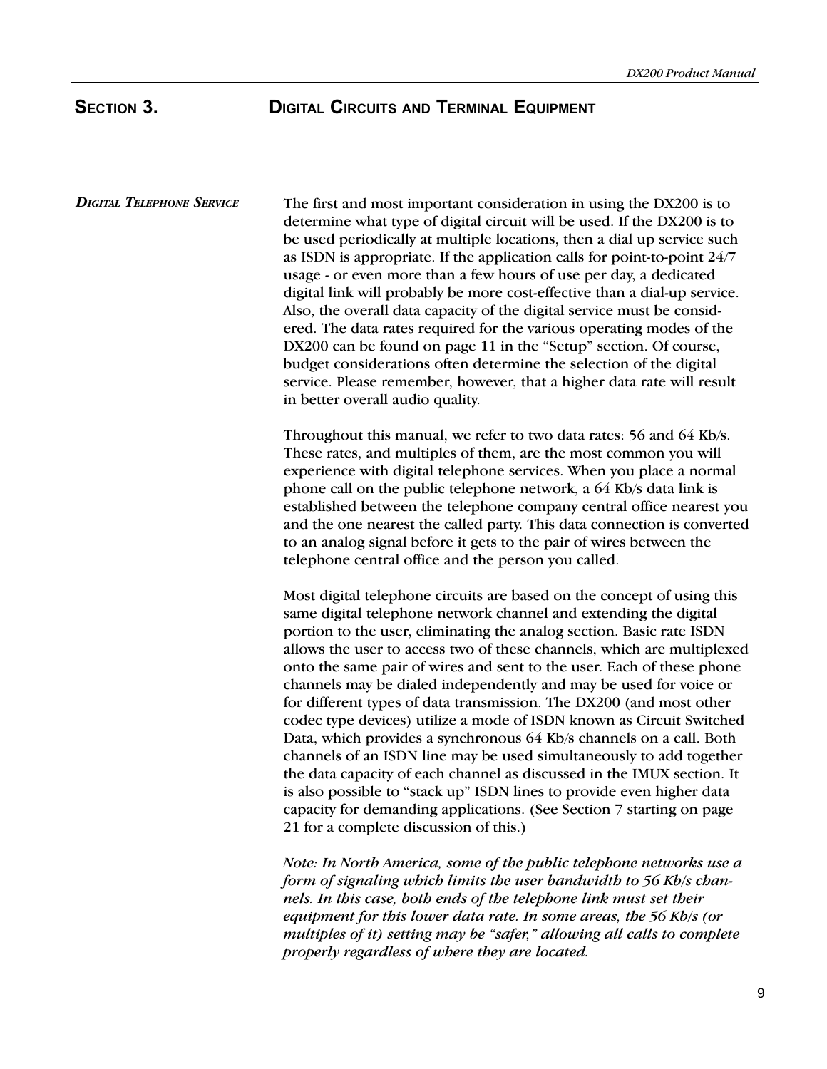# SECTION 3. **DIGITAL CIRCUITS AND TERMINAL EQUIPMENT**

DIGITAL TELEPHONE SERVICE The first and most important consideration in using the DX200 is to determine what type of digital circuit will be used. If the DX200 is to be used periodically at multiple locations, then a dial up service such as ISDN is appropriate. If the application calls for point-to-point 24/7 usage - or even more than a few hours of use per day, a dedicated digital link will probably be more cost-effective than a dial-up service. Also, the overall data capacity of the digital service must be considered. The data rates required for the various operating modes of the DX200 can be found on page 11 in the "Setup" section. Of course, budget considerations often determine the selection of the digital service. Please remember, however, that a higher data rate will result in better overall audio quality.

> Throughout this manual, we refer to two data rates: 56 and 64 Kb/s. These rates, and multiples of them, are the most common you will experience with digital telephone services. When you place a normal phone call on the public telephone network, a 64 Kb/s data link is established between the telephone company central office nearest you and the one nearest the called party. This data connection is converted to an analog signal before it gets to the pair of wires between the telephone central office and the person you called.

> Most digital telephone circuits are based on the concept of using this same digital telephone network channel and extending the digital portion to the user, eliminating the analog section. Basic rate ISDN allows the user to access two of these channels, which are multiplexed onto the same pair of wires and sent to the user. Each of these phone channels may be dialed independently and may be used for voice or for different types of data transmission. The DX200 (and most other codec type devices) utilize a mode of ISDN known as Circuit Switched Data, which provides a synchronous 64 Kb/s channels on a call. Both channels of an ISDN line may be used simultaneously to add together the data capacity of each channel as discussed in the IMUX section. It is also possible to "stack up" ISDN lines to provide even higher data capacity for demanding applications. (See Section 7 starting on page 21 for a complete discussion of this.)

Note: In North America, some of the public telephone networks use a form of signaling which limits the user bandwidth to 56 Kb/s channels. In this case, both ends of the telephone link must set their equipment for this lower data rate. In some areas, the 56 Kb/s (or multiples of it) setting may be "safer," allowing all calls to complete properly regardless of where they are located.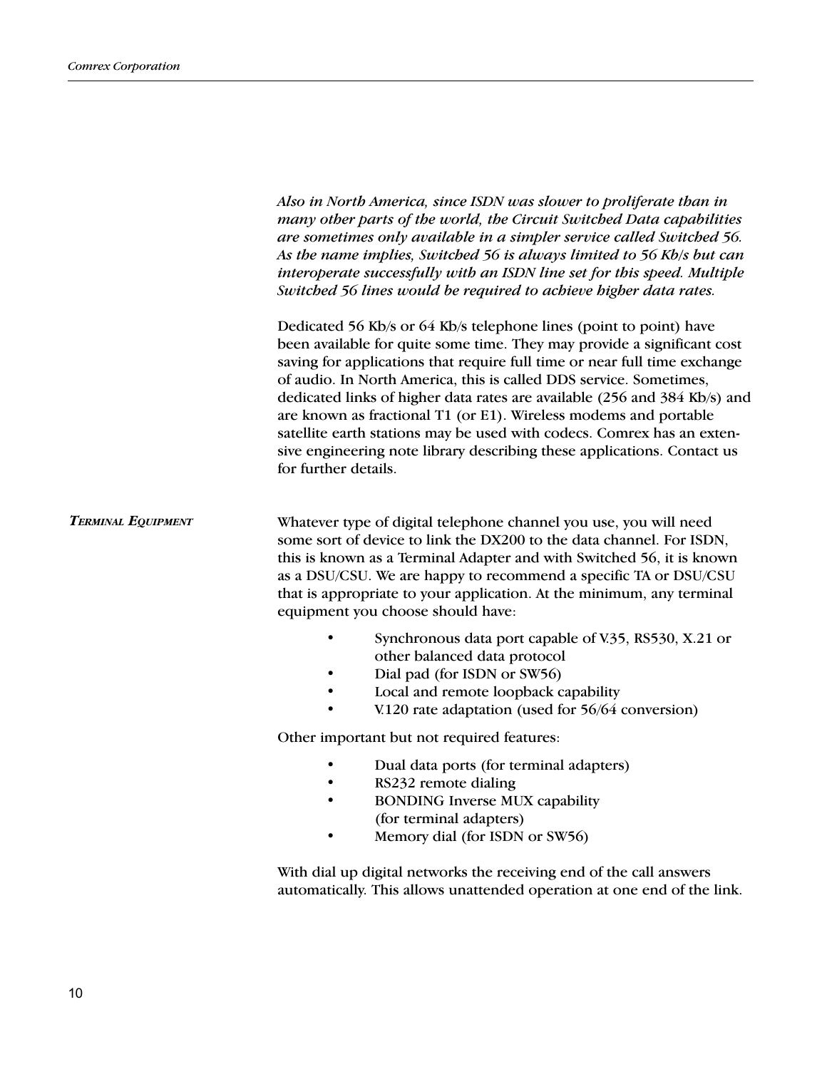TERMINAL EQUIPMENT Also in North America, since ISDN was slower to proliferate than in many other parts of the world, the Circuit Switched Data capabilities are sometimes only available in a simpler service called Switched 56. As the name implies, Switched 56 is always limited to 56 Kb/s but can interoperate successfully with an ISDN line set for this speed. Multiple Switched 56 lines would be required to achieve higher data rates. Dedicated 56 Kb/s or 64 Kb/s telephone lines (point to point) have been available for quite some time. They may provide a significant cost saving for applications that require full time or near full time exchange of audio. In North America, this is called DDS service. Sometimes, dedicated links of higher data rates are available (256 and 384 Kb/s) and are known as fractional T1 (or E1). Wireless modems and portable satellite earth stations may be used with codecs. Comrex has an extensive engineering note library describing these applications. Contact us for further details. Whatever type of digital telephone channel you use, you will need some sort of device to link the DX200 to the data channel. For ISDN, this is known as a Terminal Adapter and with Switched 56, it is known as a DSU/CSU. We are happy to recommend a specific TA or DSU/CSU that is appropriate to your application. At the minimum, any terminal equipment you choose should have: Synchronous data port capable of V.35, RS530, X.21 or other balanced data protocol Dial pad (for ISDN or SW56) Local and remote loopback capability V.120 rate adaptation (used for 56/64 conversion) Other important but not required features: Dual data ports (for terminal adapters) • RS232 remote dialing • BONDING Inverse MUX capability (for terminal adapters) Memory dial (for ISDN or SW56) With dial up digital networks the receiving end of the call answers automatically. This allows unattended operation at one end of the link.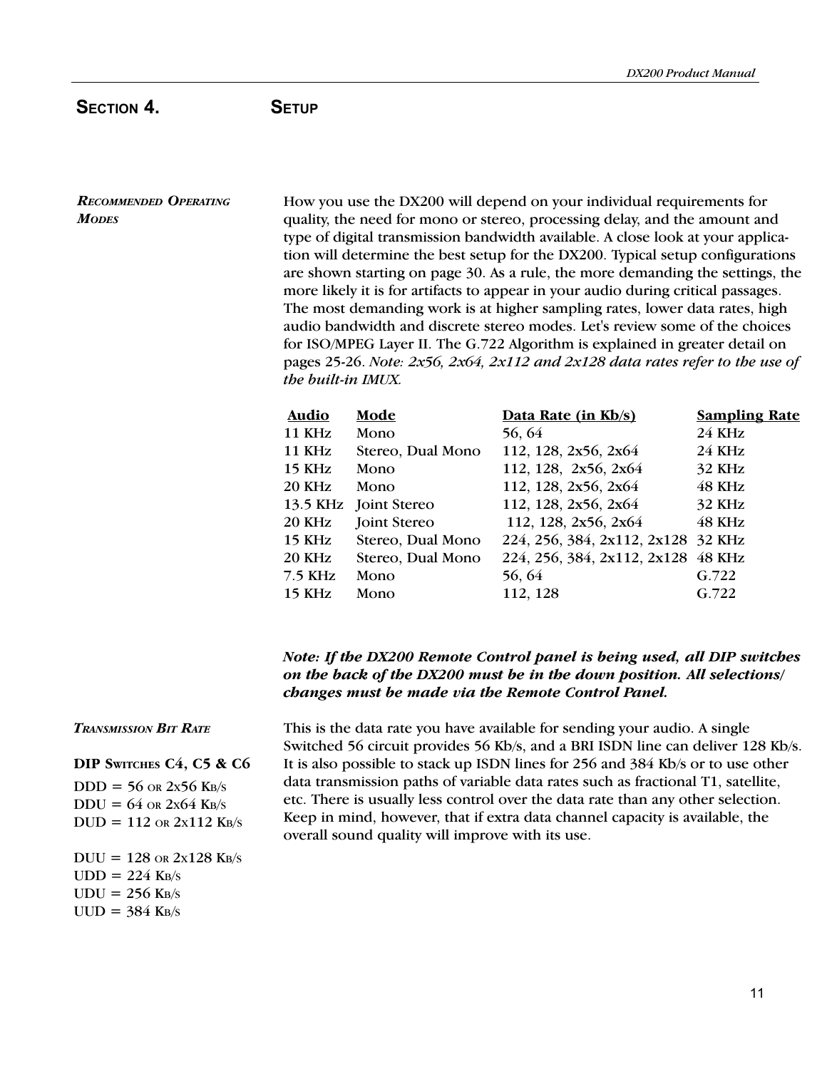# SECTION 4. SETUP

RECOMMENDED OPERATING **MODES** 

How you use the DX200 will depend on your individual requirements for quality, the need for mono or stereo, processing delay, and the amount and type of digital transmission bandwidth available. A close look at your application will determine the best setup for the DX200. Typical setup configurations are shown starting on page 30. As a rule, the more demanding the settings, the more likely it is for artifacts to appear in your audio during critical passages. The most demanding work is at higher sampling rates, lower data rates, high audio bandwidth and discrete stereo modes. Let's review some of the choices for ISO/MPEG Layer II. The G.722 Algorithm is explained in greater detail on pages 25-26. Note:  $2x56$ ,  $2x64$ ,  $2x112$  and  $2x128$  data rates refer to the use of the built-in IMUX.

| Audio         | Mode                  | Data Rate (in Kb/s)                | <b>Sampling Rate</b> |
|---------------|-----------------------|------------------------------------|----------------------|
| 11 KHz        | Mono                  | 56, 64                             | <b>24 KHz</b>        |
| 11 KHz        | Stereo, Dual Mono     | 112, 128, 2x56, 2x64               | <b>24 KHz</b>        |
| <b>15 KHz</b> | Mono                  | 112, 128, 2x56, 2x64               | 32 KHz               |
| <b>20 KHz</b> | Mono                  | 112, 128, 2x56, 2x64               | 48 KHz               |
|               | 13.5 KHz Joint Stereo | 112, 128, 2x56, 2x64               | 32 KHz               |
| <b>20 KHz</b> | <b>Joint Stereo</b>   | 112, 128, 2x56, 2x64               | 48 KHz               |
| 15 KHz        | Stereo, Dual Mono     | 224, 256, 384, 2x112, 2x128 32 KHz |                      |
| <b>20 KHz</b> | Stereo, Dual Mono     | 224, 256, 384, 2x112, 2x128 48 KHz |                      |
| $7.5$ KHz     | Mono                  | 56, 64                             | G.722                |
| $15$ KHz      | Mono                  | 112, 128                           | G.722                |

# Note: If the DX200 Remote Control panel is being used, all DIP switches on the back of the DX200 must be in the down position. All selections/ changes must be made via the Remote Control Panel.

## TRANSMISSION BIT RATE

DIP SWITCHES C4, C5 & C6

 $DDD = 56$  OR  $2x56$  KB/s  $DDU = 64$  or  $2x64$  KB/s  $DUD = 112$  OR  $2x112$  KB/s  $DUU = 128$  OR  $2x128$  KB/s  $UDD = 224$  KB/s  $UDU = 256$  KB/s  $UUD = 384$  KB/s

This is the data rate you have available for sending your audio. A single Switched 56 circuit provides 56 Kb/s, and a BRI ISDN line can deliver 128 Kb/s. It is also possible to stack up ISDN lines for 256 and 384 Kb/s or to use other data transmission paths of variable data rates such as fractional T1, satellite, etc. There is usually less control over the data rate than any other selection. Keep in mind, however, that if extra data channel capacity is available, the overall sound quality will improve with its use.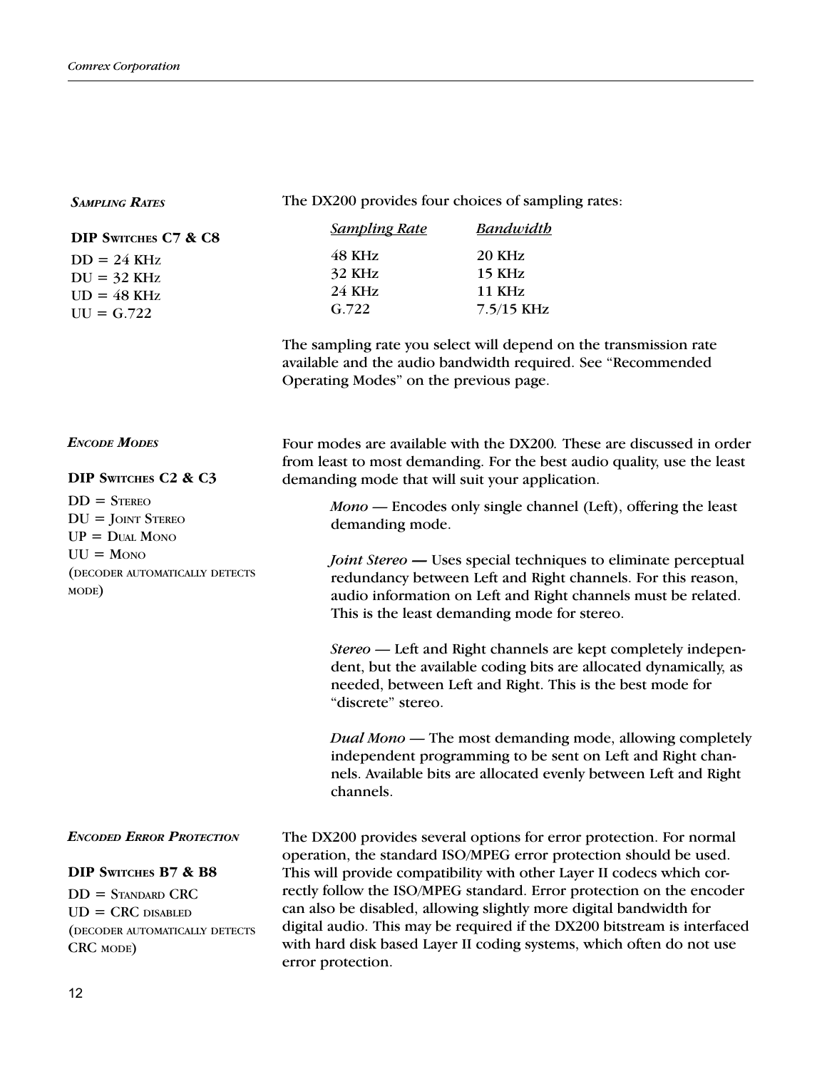| <b>SAMPLING RATES</b>                                                                                                                                               | The DX200 provides four choices of sampling rates:                                                           |                                                                                                                                                                                                                                                                                                                                                                                                                                                                                                                                                                                                                                                                                                                                                                                                                                                                              |
|---------------------------------------------------------------------------------------------------------------------------------------------------------------------|--------------------------------------------------------------------------------------------------------------|------------------------------------------------------------------------------------------------------------------------------------------------------------------------------------------------------------------------------------------------------------------------------------------------------------------------------------------------------------------------------------------------------------------------------------------------------------------------------------------------------------------------------------------------------------------------------------------------------------------------------------------------------------------------------------------------------------------------------------------------------------------------------------------------------------------------------------------------------------------------------|
| DIP SWITCHES C7 & C8<br>$DD = 24 \text{ KHz}$<br>$DU = 32 \text{ KHz}$<br>$UD = 48$ KHz<br>$UU = G.722$                                                             | <b>Sampling Rate</b><br>48 KHz<br>32 KHz<br><b>24 KHz</b><br>G.722<br>Operating Modes" on the previous page. | <b>Bandwidth</b><br>20 KHz<br>15 KHz<br><b>11 KHz</b><br>$7.5/15$ KHz<br>The sampling rate you select will depend on the transmission rate<br>available and the audio bandwidth required. See "Recommended                                                                                                                                                                                                                                                                                                                                                                                                                                                                                                                                                                                                                                                                   |
| <b>ENCODE MODES</b><br>DIP SWITCHES C2 & C3<br>$DD =$ STEREO<br>$DU =$ JOINT STEREO<br>$UP = D$ UAL MONO<br>$UU = M$ ONO<br>(DECODER AUTOMATICALLY DETECTS<br>MODE) | demanding mode that will suit your application.<br>demanding mode.<br>"discrete" stereo.<br>channels.        | Four modes are available with the DX200. These are discussed in order<br>from least to most demanding. For the best audio quality, use the least<br>Mono — Encodes only single channel (Left), offering the least<br><i>Joint Stereo</i> — Uses special techniques to eliminate perceptual<br>redundancy between Left and Right channels. For this reason,<br>audio information on Left and Right channels must be related.<br>This is the least demanding mode for stereo.<br>Stereo — Left and Right channels are kept completely indepen-<br>dent, but the available coding bits are allocated dynamically, as<br>needed, between Left and Right. This is the best mode for<br>Dual Mono — The most demanding mode, allowing completely<br>independent programming to be sent on Left and Right chan-<br>nels. Available bits are allocated evenly between Left and Right |
| <b>ENCODED ERROR PROTECTION</b><br>DIP SWITCHES B7 & B8<br>$DD =$ STANDARD CRC<br>$UD = CRC$ DISABLED<br>(DECODER AUTOMATICALLY DETECTS<br>CRC MODE)                | error protection.                                                                                            | The DX200 provides several options for error protection. For normal<br>operation, the standard ISO/MPEG error protection should be used.<br>This will provide compatibility with other Layer II codecs which cor-<br>rectly follow the ISO/MPEG standard. Error protection on the encoder<br>can also be disabled, allowing slightly more digital bandwidth for<br>digital audio. This may be required if the DX200 bitstream is interfaced<br>with hard disk based Layer II coding systems, which often do not use                                                                                                                                                                                                                                                                                                                                                          |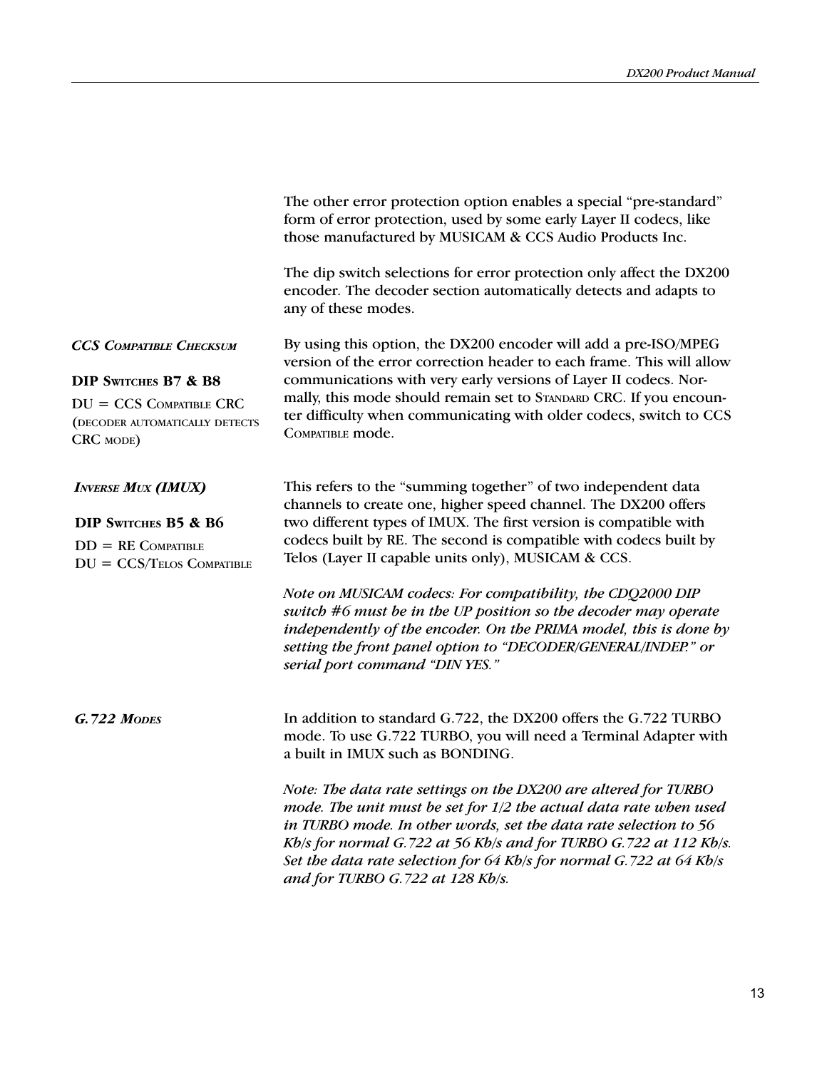|                                                                                                                                    | The other error protection option enables a special "pre-standard"<br>form of error protection, used by some early Layer II codecs, like<br>those manufactured by MUSICAM & CCS Audio Products Inc.                                                                                                                                                                                                                                                                                                                                                                                                     |
|------------------------------------------------------------------------------------------------------------------------------------|---------------------------------------------------------------------------------------------------------------------------------------------------------------------------------------------------------------------------------------------------------------------------------------------------------------------------------------------------------------------------------------------------------------------------------------------------------------------------------------------------------------------------------------------------------------------------------------------------------|
|                                                                                                                                    | The dip switch selections for error protection only affect the DX200<br>encoder. The decoder section automatically detects and adapts to<br>any of these modes.                                                                                                                                                                                                                                                                                                                                                                                                                                         |
| <b>CCS COMPATIBLE CHECKSUM</b><br>DIP SWITCHES B7 & B8<br>$DU = CCS$ COMPATIBLE CRC<br>(DECODER AUTOMATICALLY DETECTS<br>CRC MODE) | By using this option, the DX200 encoder will add a pre-ISO/MPEG<br>version of the error correction header to each frame. This will allow<br>communications with very early versions of Layer II codecs. Nor-<br>mally, this mode should remain set to STANDARD CRC. If you encoun-<br>ter difficulty when communicating with older codecs, switch to CCS<br>COMPATIBLE mode.                                                                                                                                                                                                                            |
| <b>INVERSE MUX (IMUX)</b><br>DIP SWITCHES B5 & B6<br>$DD = RE$ COMPATIBLE<br>$DU = CCS/TELOS$ COMPATIBLE                           | This refers to the "summing together" of two independent data<br>channels to create one, higher speed channel. The DX200 offers<br>two different types of IMUX. The first version is compatible with<br>codecs built by RE. The second is compatible with codecs built by<br>Telos (Layer II capable units only), MUSICAM & CCS.<br>Note on MUSICAM codecs: For compatibility, the CDQ2000 DIP<br>switch #6 must be in the UP position so the decoder may operate<br>independently of the encoder. On the PRIMA model, this is done by<br>setting the front panel option to "DECODER/GENERAL/INDEP." or |
| <b>G.722 MODES</b>                                                                                                                 | serial port command "DIN YES."<br>In addition to standard G.722, the DX200 offers the G.722 TURBO<br>mode. To use G.722 TURBO, you will need a Terminal Adapter with<br>a built in IMUX such as BONDING.<br>Note: The data rate settings on the DX200 are altered for TURBO<br>mode. The unit must be set for 1/2 the actual data rate when used<br>in TURBO mode. In other words, set the data rate selection to 56                                                                                                                                                                                    |
|                                                                                                                                    | Kb/s for normal G.722 at 56 Kb/s and for TURBO G.722 at 112 Kb/s.<br>Set the data rate selection for 64 Kb/s for normal G.722 at 64 Kb/s<br>and for TURBO G.722 at 128 Kb/s.                                                                                                                                                                                                                                                                                                                                                                                                                            |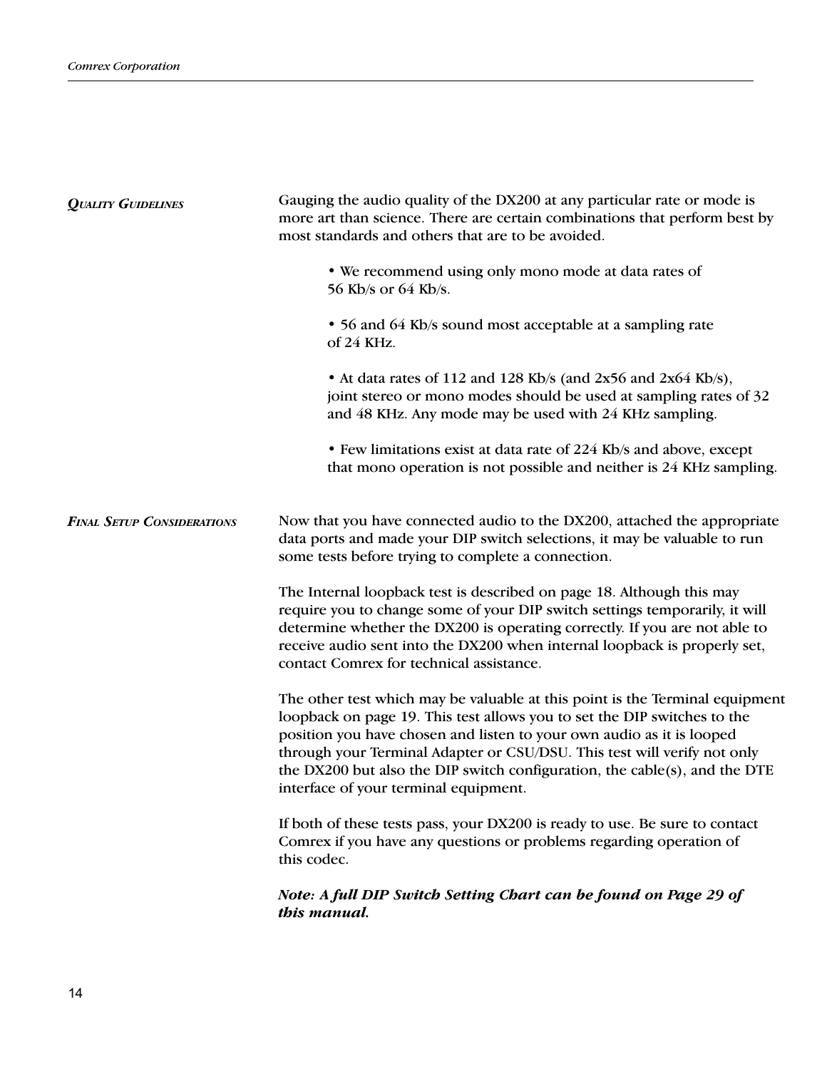| <b>QUALITY GUIDELINES</b>         | Gauging the audio quality of the DX200 at any particular rate or mode is<br>more art than science. There are certain combinations that perform best by<br>most standards and others that are to be avoided.                                                                                                                                                                                                                          |  |
|-----------------------------------|--------------------------------------------------------------------------------------------------------------------------------------------------------------------------------------------------------------------------------------------------------------------------------------------------------------------------------------------------------------------------------------------------------------------------------------|--|
|                                   | • We recommend using only mono mode at data rates of<br>56 Kb/s or 64 Kb/s.                                                                                                                                                                                                                                                                                                                                                          |  |
|                                   | • 56 and 64 Kb/s sound most acceptable at a sampling rate<br>of 24 KHz.                                                                                                                                                                                                                                                                                                                                                              |  |
|                                   | • At data rates of 112 and 128 Kb/s (and 2x56 and 2x64 Kb/s),<br>joint stereo or mono modes should be used at sampling rates of 32<br>and 48 KHz. Any mode may be used with 24 KHz sampling.                                                                                                                                                                                                                                         |  |
|                                   | • Few limitations exist at data rate of 224 Kb/s and above, except<br>that mono operation is not possible and neither is 24 KHz sampling.                                                                                                                                                                                                                                                                                            |  |
| <b>FINAL SETUP CONSIDERATIONS</b> | Now that you have connected audio to the DX200, attached the appropriate<br>data ports and made your DIP switch selections, it may be valuable to run<br>some tests before trying to complete a connection.                                                                                                                                                                                                                          |  |
|                                   | The Internal loopback test is described on page 18. Although this may<br>require you to change some of your DIP switch settings temporarily, it will<br>determine whether the DX200 is operating correctly. If you are not able to<br>receive audio sent into the DX200 when internal loopback is properly set,<br>contact Comrex for technical assistance.                                                                          |  |
|                                   | The other test which may be valuable at this point is the Terminal equipment<br>loopback on page 19. This test allows you to set the DIP switches to the<br>position you have chosen and listen to your own audio as it is looped<br>through your Terminal Adapter or CSU/DSU. This test will verify not only<br>the DX200 but also the DIP switch configuration, the cable(s), and the DTE<br>interface of your terminal equipment. |  |
|                                   | If both of these tests pass, your DX200 is ready to use. Be sure to contact<br>Comrex if you have any questions or problems regarding operation of<br>this codec.                                                                                                                                                                                                                                                                    |  |
|                                   | Note: A full DIP Switch Setting Chart can be found on Page 29 of<br>this manual.                                                                                                                                                                                                                                                                                                                                                     |  |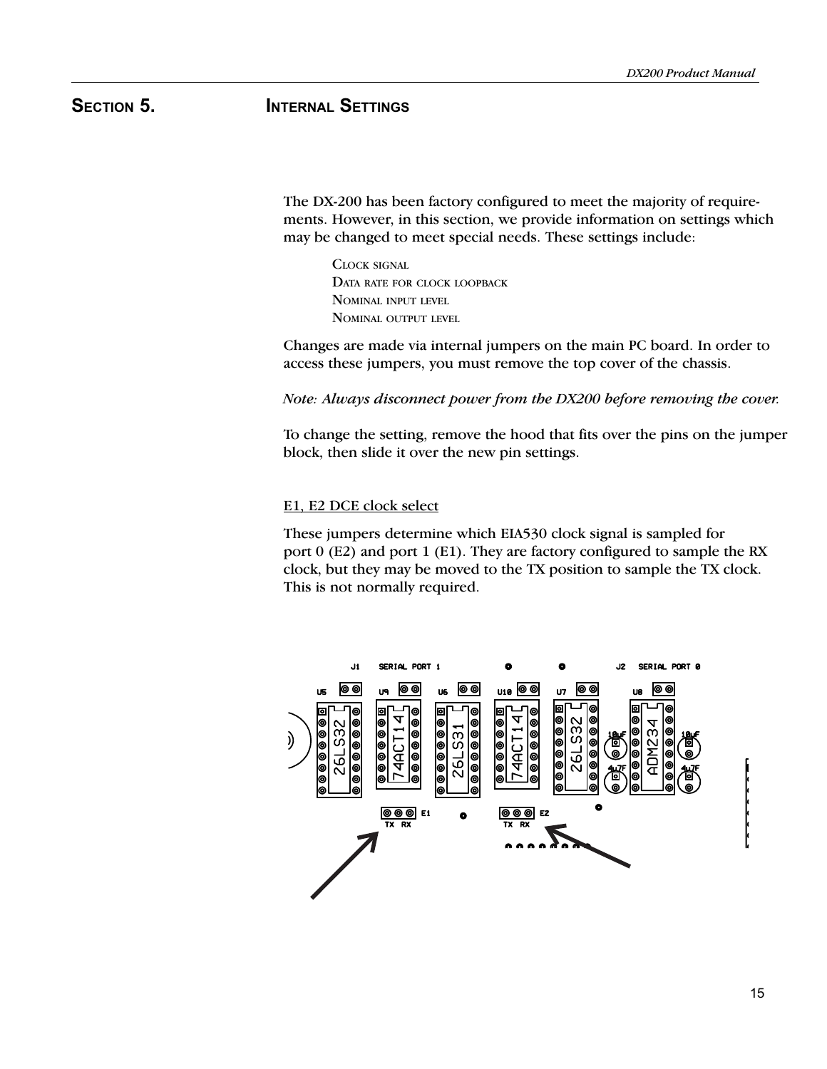# SECTION 5. **INTERNAL SETTINGS**

The DX-200 has been factory configured to meet the majority of requirements. However, in this section, we provide information on settings which may be changed to meet special needs. These settings include:

CLOCK SIGNAL DATA RATE FOR CLOCK LOOPBACK NOMINAL INPUT LEVEL NOMINAL OUTPUT LEVEL

Changes are made via internal jumpers on the main PC board. In order to access these jumpers, you must remove the top cover of the chassis.

Note: Always disconnect power from the DX200 before removing the cover.

To change the setting, remove the hood that fits over the pins on the jumper block, then slide it over the new pin settings.

### E1, E2 DCE clock select

These jumpers determine which EIA530 clock signal is sampled for port 0 (E2) and port 1 (E1). They are factory configured to sample the RX clock, but they may be moved to the TX position to sample the TX clock. This is not normally required.

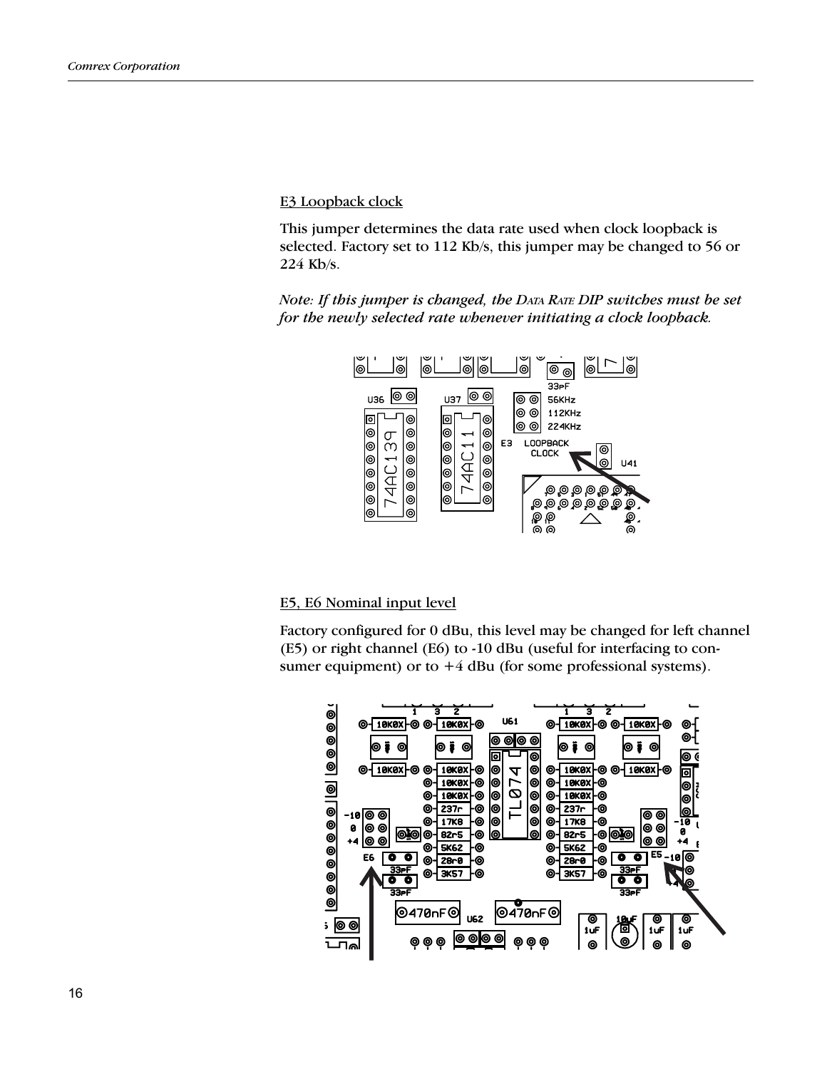E3 Loopback clock

This jumper determines the data rate used when clock loopback is selected. Factory set to 112 Kb/s, this jumper may be changed to 56 or 224 Kb/s.

Note: If this jumper is changed, the DATA RATE DIP switches must be set for the newly selected rate whenever initiating a clock loopback.



## E5, E6 Nominal input level

Factory configured for 0 dBu, this level may be changed for left channel (E5) or right channel (E6) to -10 dBu (useful for interfacing to consumer equipment) or to  $+4$  dBu (for some professional systems).

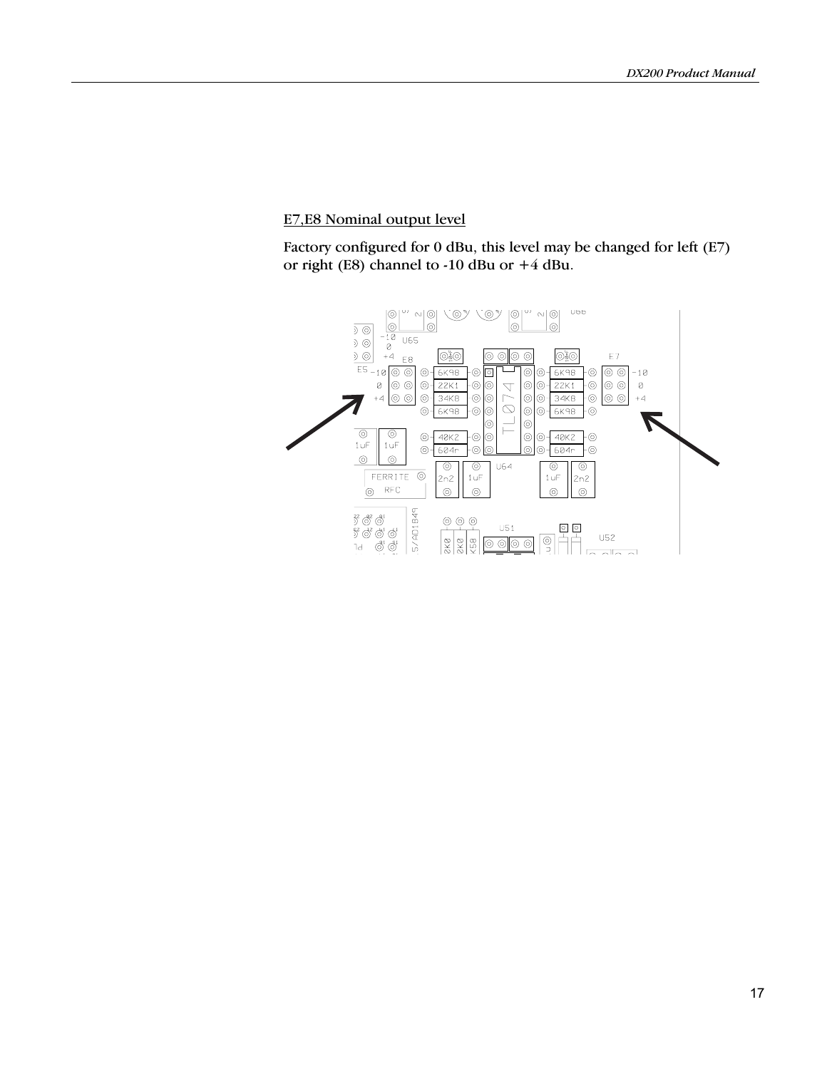# E7,E8 Nominal output level

Factory configured for 0 dBu, this level may be changed for left (E7) or right (E8) channel to -10 dBu or +4 dBu.

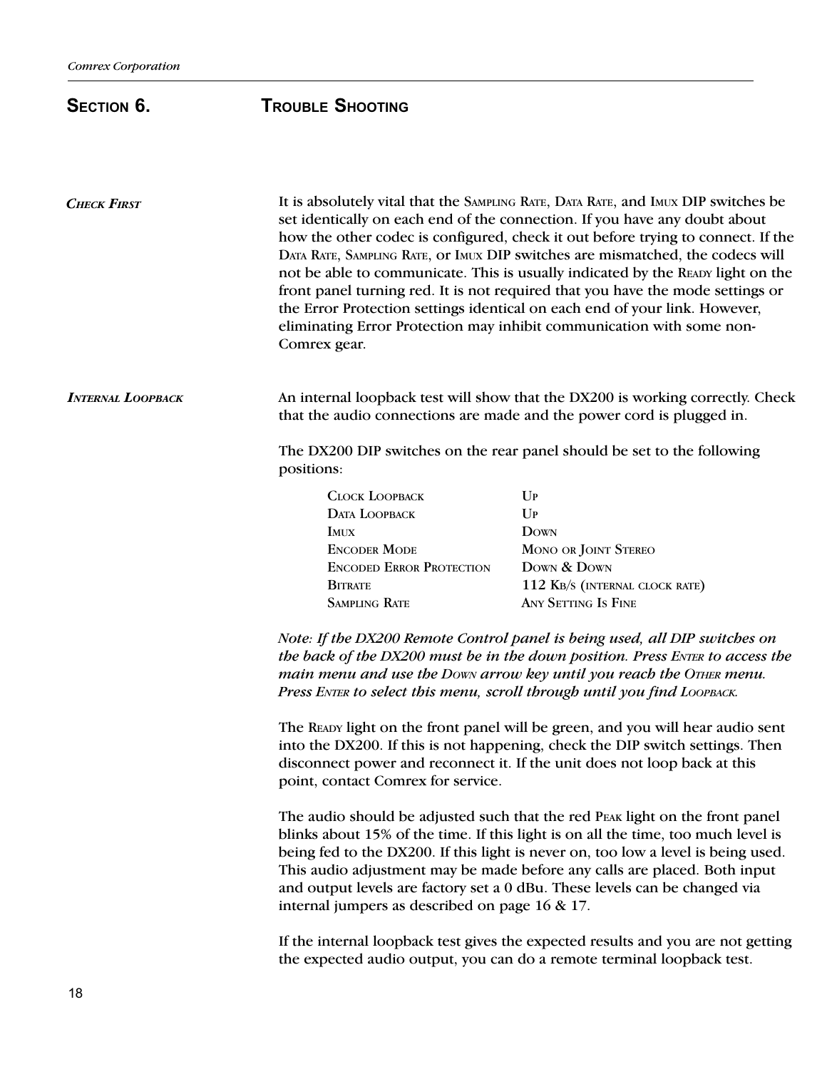# SECTION 6. TROUBLE SHOOTING

| <b>CHECK FIRST</b>       | Comrex gear.                                                                                                                                                                                                                                                                                                                                                                                                                                                        | It is absolutely vital that the SAMPLING RATE, DATA RATE, and IMUX DIP switches be<br>set identically on each end of the connection. If you have any doubt about<br>how the other codec is configured, check it out before trying to connect. If the<br>DATA RATE, SAMPLING RATE, OF IMUX DIP switches are mismatched, the codecs will<br>not be able to communicate. This is usually indicated by the READY light on the<br>front panel turning red. It is not required that you have the mode settings or<br>the Error Protection settings identical on each end of your link. However,<br>eliminating Error Protection may inhibit communication with some non- |
|--------------------------|---------------------------------------------------------------------------------------------------------------------------------------------------------------------------------------------------------------------------------------------------------------------------------------------------------------------------------------------------------------------------------------------------------------------------------------------------------------------|--------------------------------------------------------------------------------------------------------------------------------------------------------------------------------------------------------------------------------------------------------------------------------------------------------------------------------------------------------------------------------------------------------------------------------------------------------------------------------------------------------------------------------------------------------------------------------------------------------------------------------------------------------------------|
| <b>INTERNAL LOOPBACK</b> |                                                                                                                                                                                                                                                                                                                                                                                                                                                                     | An internal loopback test will show that the DX200 is working correctly. Check<br>that the audio connections are made and the power cord is plugged in.                                                                                                                                                                                                                                                                                                                                                                                                                                                                                                            |
|                          | positions:                                                                                                                                                                                                                                                                                                                                                                                                                                                          | The DX200 DIP switches on the rear panel should be set to the following                                                                                                                                                                                                                                                                                                                                                                                                                                                                                                                                                                                            |
|                          | <b>CLOCK LOOPBACK</b>                                                                                                                                                                                                                                                                                                                                                                                                                                               | $U_{P}$                                                                                                                                                                                                                                                                                                                                                                                                                                                                                                                                                                                                                                                            |
|                          | DATA LOOPBACK                                                                                                                                                                                                                                                                                                                                                                                                                                                       | $\mathbf{U}\mathbf{P}$                                                                                                                                                                                                                                                                                                                                                                                                                                                                                                                                                                                                                                             |
|                          | <b>IMUX</b>                                                                                                                                                                                                                                                                                                                                                                                                                                                         | <b>DOWN</b>                                                                                                                                                                                                                                                                                                                                                                                                                                                                                                                                                                                                                                                        |
|                          | <b>ENCODER MODE</b>                                                                                                                                                                                                                                                                                                                                                                                                                                                 | MONO OR JOINT STEREO                                                                                                                                                                                                                                                                                                                                                                                                                                                                                                                                                                                                                                               |
|                          | <b>ENCODED ERROR PROTECTION</b>                                                                                                                                                                                                                                                                                                                                                                                                                                     | DOWN & DOWN                                                                                                                                                                                                                                                                                                                                                                                                                                                                                                                                                                                                                                                        |
|                          | <b>BITRATE</b>                                                                                                                                                                                                                                                                                                                                                                                                                                                      | 112 KB/S (INTERNAL CLOCK RATE)                                                                                                                                                                                                                                                                                                                                                                                                                                                                                                                                                                                                                                     |
|                          | <b>SAMPLING RATE</b>                                                                                                                                                                                                                                                                                                                                                                                                                                                | <b>ANY SETTING IS FINE</b>                                                                                                                                                                                                                                                                                                                                                                                                                                                                                                                                                                                                                                         |
|                          |                                                                                                                                                                                                                                                                                                                                                                                                                                                                     | Note: If the DX200 Remote Control panel is being used, all DIP switches on<br>the back of the DX200 must be in the down position. Press ENTER to access the<br>main menu and use the Down arrow key until you reach the OTHER menu.<br>Press ENTER to select this menu, scroll through until you find LOOPBACK.                                                                                                                                                                                                                                                                                                                                                    |
|                          | point, contact Comrex for service.                                                                                                                                                                                                                                                                                                                                                                                                                                  | The READY light on the front panel will be green, and you will hear audio sent<br>into the DX200. If this is not happening, check the DIP switch settings. Then<br>disconnect power and reconnect it. If the unit does not loop back at this                                                                                                                                                                                                                                                                                                                                                                                                                       |
|                          | The audio should be adjusted such that the red PEAK light on the front panel<br>blinks about 15% of the time. If this light is on all the time, too much level is<br>being fed to the DX200. If this light is never on, too low a level is being used.<br>This audio adjustment may be made before any calls are placed. Both input<br>and output levels are factory set a 0 dBu. These levels can be changed via<br>internal jumpers as described on page 16 & 17. |                                                                                                                                                                                                                                                                                                                                                                                                                                                                                                                                                                                                                                                                    |
|                          | If the internal loopback test gives the expected results and you are not getting<br>the expected audio output, you can do a remote terminal loopback test.                                                                                                                                                                                                                                                                                                          |                                                                                                                                                                                                                                                                                                                                                                                                                                                                                                                                                                                                                                                                    |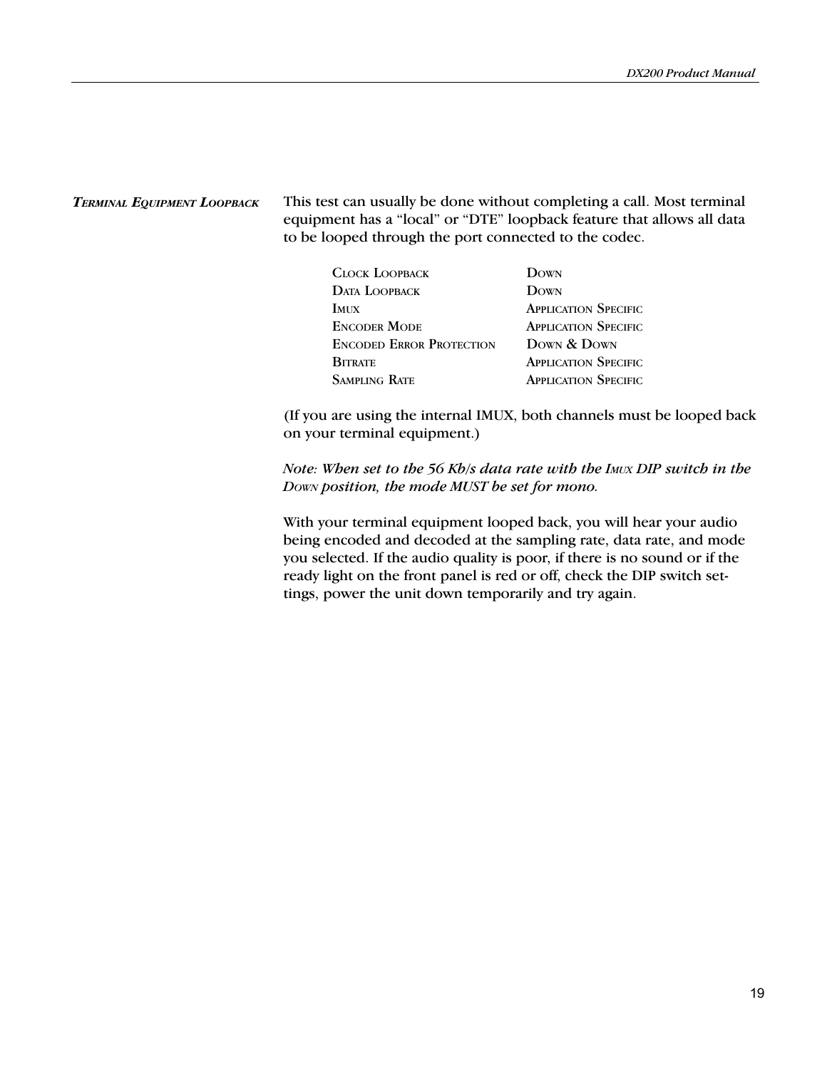### TERMINAL EQUIPMENT LOOPBACK

This test can usually be done without completing a call. Most terminal equipment has a "local" or "DTE" loopback feature that allows all data to be looped through the port connected to the codec.

| CLOCK LOOPBACK                  | DOWN                        |
|---------------------------------|-----------------------------|
| <b>DATA LOOPBACK</b>            | DOWN                        |
| <b>IMUX</b>                     | <b>APPLICATION SPECIFIC</b> |
| <b>ENCODER MODE</b>             | <b>APPLICATION SPECIFIC</b> |
| <b>ENCODED ERROR PROTECTION</b> | DOWN & DOWN                 |
| <b>BITRATE</b>                  | <b>APPLICATION SPECIFIC</b> |
| <b>SAMPLING RATE</b>            | <b>APPLICATION SPECIFIC</b> |

(If you are using the internal IMUX, both channels must be looped back on your terminal equipment.)

Note: When set to the 56 Kb/s data rate with the IMUX DIP switch in the DOWN position, the mode MUST be set for mono.

With your terminal equipment looped back, you will hear your audio being encoded and decoded at the sampling rate, data rate, and mode you selected. If the audio quality is poor, if there is no sound or if the ready light on the front panel is red or off, check the DIP switch settings, power the unit down temporarily and try again.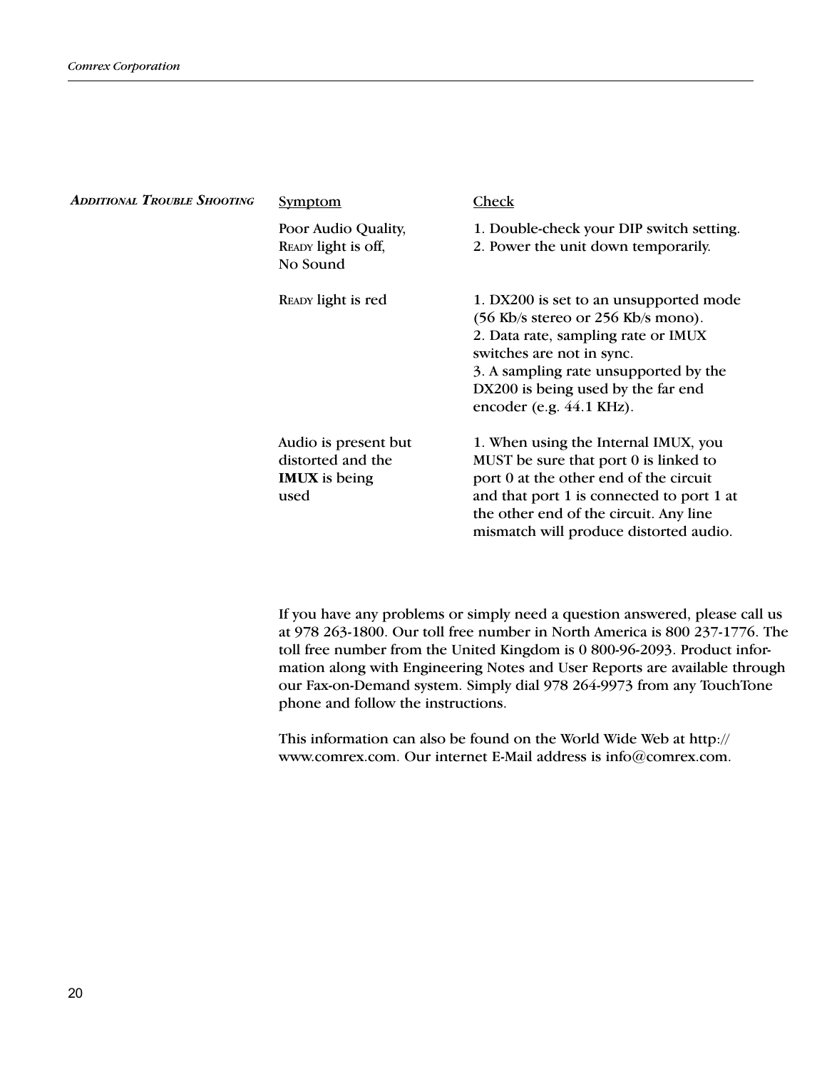| <b>ADDITIONAL TROUBLE SHOOTING</b> | <b>Symptom</b>                                                            | Check                                                                                                                                                                                                                                                                                                    |
|------------------------------------|---------------------------------------------------------------------------|----------------------------------------------------------------------------------------------------------------------------------------------------------------------------------------------------------------------------------------------------------------------------------------------------------|
|                                    | Poor Audio Quality,<br>READY light is off,<br>No Sound                    | 1. Double-check your DIP switch setting.<br>2. Power the unit down temporarily.                                                                                                                                                                                                                          |
|                                    | READY light is red                                                        | 1. DX200 is set to an unsupported mode<br>$(56 \text{ Kb/s} \text{ stereo} \text{ or } 256 \text{ Kb/s} \text{ mono}).$<br>2. Data rate, sampling rate or IMUX<br>switches are not in sync.<br>3. A sampling rate unsupported by the<br>DX200 is being used by the far end<br>encoder (e.g. $44.1$ KHz). |
|                                    | Audio is present but<br>distorted and the<br><b>IMUX</b> is being<br>used | 1. When using the Internal IMUX, you<br>MUST be sure that port 0 is linked to<br>port 0 at the other end of the circuit<br>and that port 1 is connected to port 1 at<br>the other end of the circuit. Any line<br>mismatch will produce distorted audio.                                                 |

If you have any problems or simply need a question answered, please call us at 978 263-1800. Our toll free number in North America is 800 237-1776. The toll free number from the United Kingdom is 0 800-96-2093. Product information along with Engineering Notes and User Reports are available through our Fax-on-Demand system. Simply dial 978 264-9973 from any TouchTone phone and follow the instructions.

This information can also be found on the World Wide Web at http:// www.comrex.com. Our internet E-Mail address is info@comrex.com.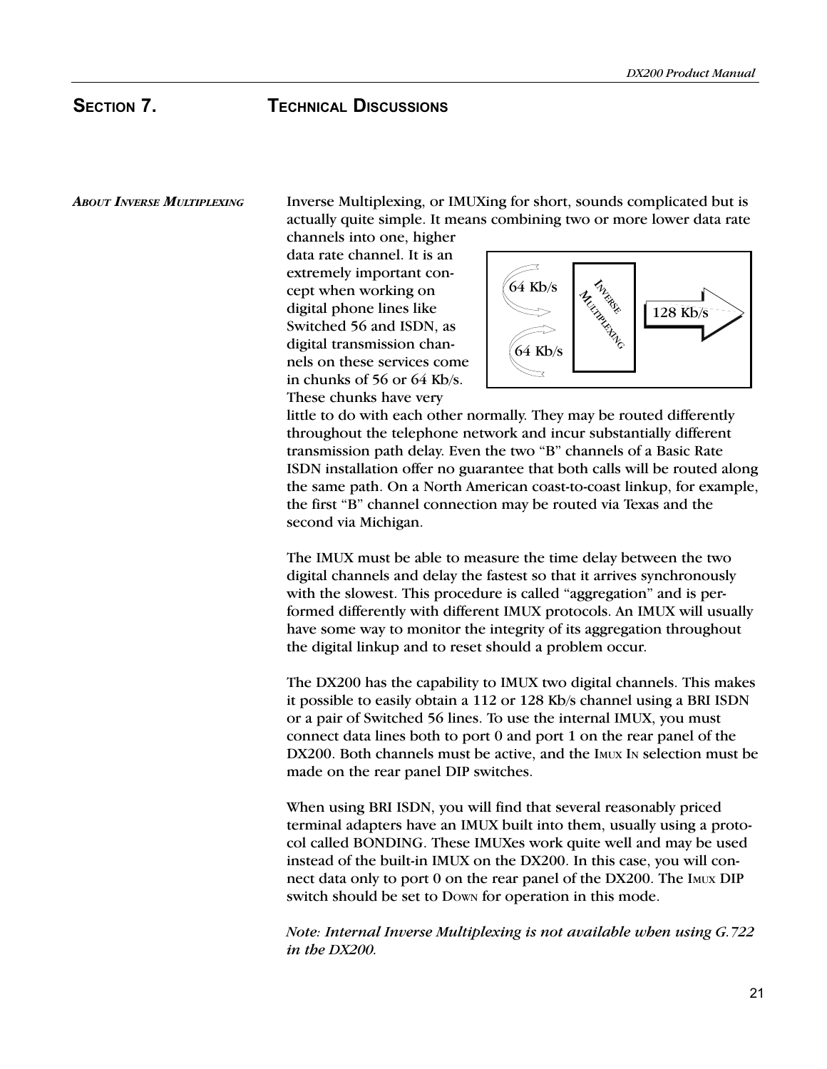ABOUT INVERSE MULTIPLEXING Inverse Multiplexing, or IMUXing for short, sounds complicated but is actually quite simple. It means combining two or more lower data rate

channels into one, higher data rate channel. It is an extremely important concept when working on digital phone lines like Switched 56 and ISDN, as digital transmission channels on these services come in chunks of 56 or 64 Kb/s. These chunks have very



little to do with each other normally. They may be routed differently throughout the telephone network and incur substantially different transmission path delay. Even the two "B" channels of a Basic Rate ISDN installation offer no guarantee that both calls will be routed along the same path. On a North American coast-to-coast linkup, for example, the first "B" channel connection may be routed via Texas and the second via Michigan.

The IMUX must be able to measure the time delay between the two digital channels and delay the fastest so that it arrives synchronously with the slowest. This procedure is called "aggregation" and is performed differently with different IMUX protocols. An IMUX will usually have some way to monitor the integrity of its aggregation throughout the digital linkup and to reset should a problem occur.

The DX200 has the capability to IMUX two digital channels. This makes it possible to easily obtain a 112 or 128 Kb/s channel using a BRI ISDN or a pair of Switched 56 lines. To use the internal IMUX, you must connect data lines both to port 0 and port 1 on the rear panel of the DX200. Both channels must be active, and the IMUX IN selection must be made on the rear panel DIP switches.

When using BRI ISDN, you will find that several reasonably priced terminal adapters have an IMUX built into them, usually using a protocol called BONDING. These IMUXes work quite well and may be used instead of the built-in IMUX on the DX200. In this case, you will connect data only to port 0 on the rear panel of the DX200. The IMUX DIP switch should be set to Down for operation in this mode.

Note: Internal Inverse Multiplexing is not available when using G.722 in the DX200.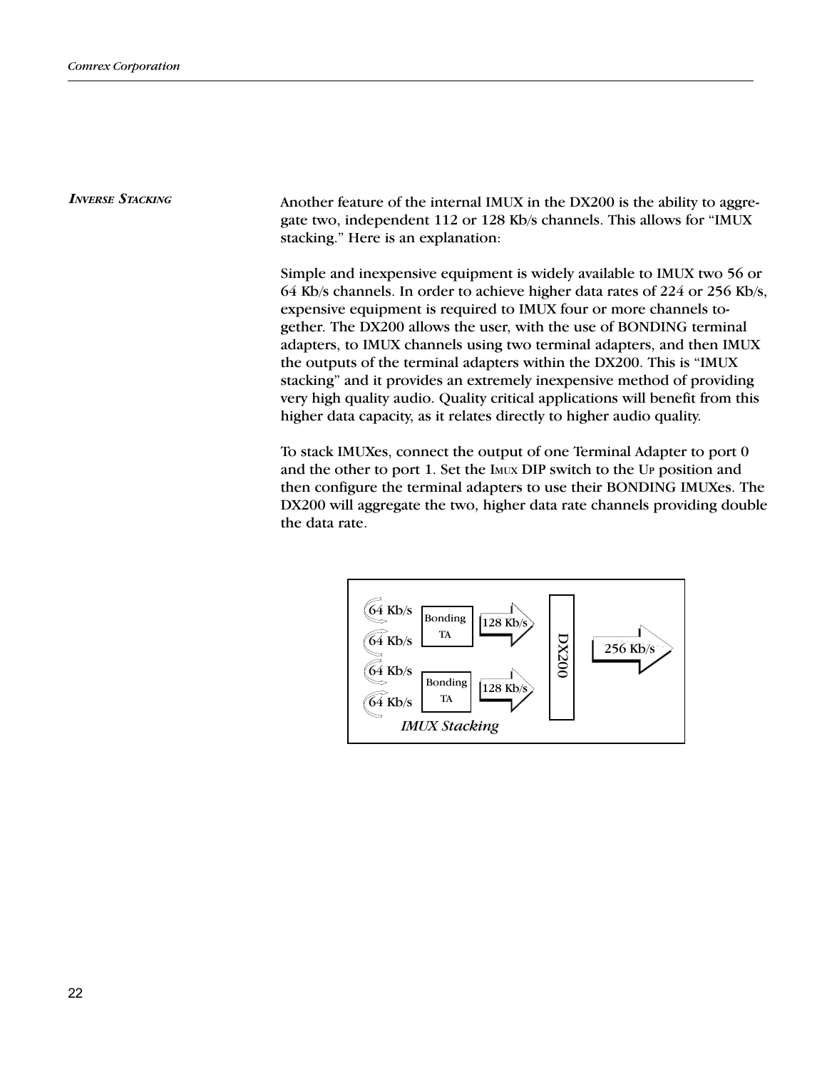INVERSE STACKING Another feature of the internal IMUX in the DX200 is the ability to aggregate two, independent 112 or 128 Kb/s channels. This allows for "IMUX stacking." Here is an explanation:

> Simple and inexpensive equipment is widely available to IMUX two 56 or 64 Kb/s channels. In order to achieve higher data rates of 224 or 256 Kb/s, expensive equipment is required to IMUX four or more channels together. The DX200 allows the user, with the use of BONDING terminal adapters, to IMUX channels using two terminal adapters, and then IMUX the outputs of the terminal adapters within the DX200. This is "IMUX" stacking" and it provides an extremely inexpensive method of providing very high quality audio. Quality critical applications will benefit from this higher data capacity, as it relates directly to higher audio quality.

> To stack IMUXes, connect the output of one Terminal Adapter to port 0 and the other to port 1. Set the IMUX DIP switch to the UP position and then configure the terminal adapters to use their BONDING IMUXes. The DX200 will aggregate the two, higher data rate channels providing double the data rate.

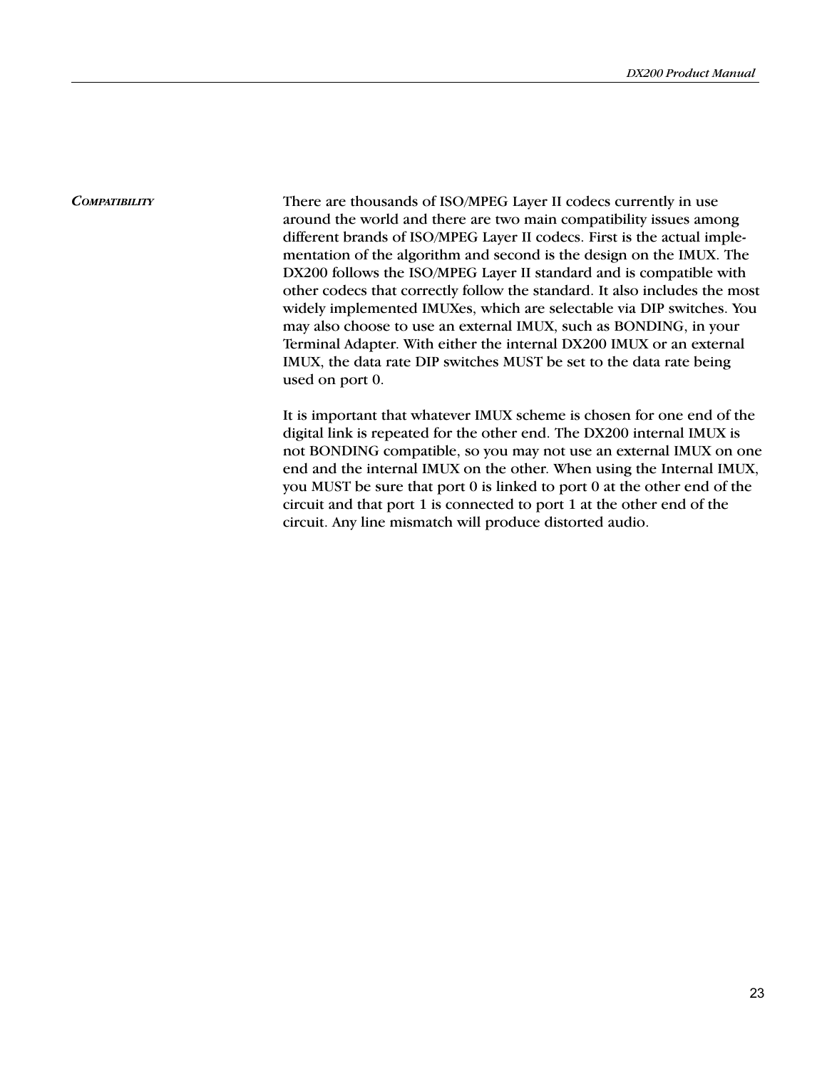COMPATIBILITY There are thousands of ISO/MPEG Layer II codecs currently in use around the world and there are two main compatibility issues among different brands of ISO/MPEG Layer II codecs. First is the actual implementation of the algorithm and second is the design on the IMUX. The DX200 follows the ISO/MPEG Layer II standard and is compatible with other codecs that correctly follow the standard. It also includes the most widely implemented IMUXes, which are selectable via DIP switches. You may also choose to use an external IMUX, such as BONDING, in your Terminal Adapter. With either the internal DX200 IMUX or an external IMUX, the data rate DIP switches MUST be set to the data rate being used on port 0.

> It is important that whatever IMUX scheme is chosen for one end of the digital link is repeated for the other end. The DX200 internal IMUX is not BONDING compatible, so you may not use an external IMUX on one end and the internal IMUX on the other. When using the Internal IMUX, you MUST be sure that port 0 is linked to port 0 at the other end of the circuit and that port 1 is connected to port 1 at the other end of the circuit. Any line mismatch will produce distorted audio.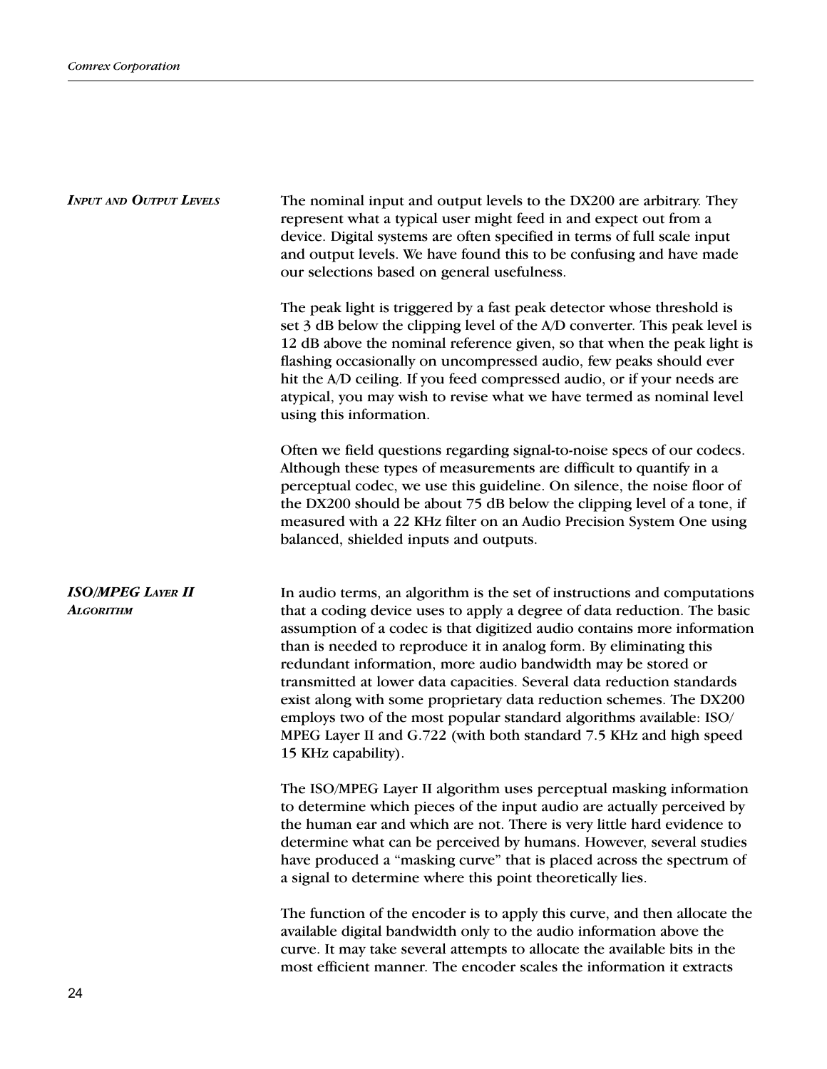| <b>INPUT AND OUTPUT LEVELS</b>               | The nominal input and output levels to the DX200 are arbitrary. They<br>represent what a typical user might feed in and expect out from a<br>device. Digital systems are often specified in terms of full scale input<br>and output levels. We have found this to be confusing and have made<br>our selections based on general usefulness.                                                                                                                                                                                                                                                                                                                                                |  |  |
|----------------------------------------------|--------------------------------------------------------------------------------------------------------------------------------------------------------------------------------------------------------------------------------------------------------------------------------------------------------------------------------------------------------------------------------------------------------------------------------------------------------------------------------------------------------------------------------------------------------------------------------------------------------------------------------------------------------------------------------------------|--|--|
|                                              | The peak light is triggered by a fast peak detector whose threshold is<br>set 3 dB below the clipping level of the A/D converter. This peak level is<br>12 dB above the nominal reference given, so that when the peak light is<br>flashing occasionally on uncompressed audio, few peaks should ever<br>hit the A/D ceiling. If you feed compressed audio, or if your needs are<br>atypical, you may wish to revise what we have termed as nominal level<br>using this information.                                                                                                                                                                                                       |  |  |
|                                              | Often we field questions regarding signal-to-noise specs of our codecs.<br>Although these types of measurements are difficult to quantify in a<br>perceptual codec, we use this guideline. On silence, the noise floor of<br>the DX200 should be about 75 dB below the clipping level of a tone, if<br>measured with a 22 KHz filter on an Audio Precision System One using<br>balanced, shielded inputs and outputs.                                                                                                                                                                                                                                                                      |  |  |
| <b>ISO/MPEG LAYER II</b><br><b>ALGORITHM</b> | In audio terms, an algorithm is the set of instructions and computations<br>that a coding device uses to apply a degree of data reduction. The basic<br>assumption of a codec is that digitized audio contains more information<br>than is needed to reproduce it in analog form. By eliminating this<br>redundant information, more audio bandwidth may be stored or<br>transmitted at lower data capacities. Several data reduction standards<br>exist along with some proprietary data reduction schemes. The DX200<br>employs two of the most popular standard algorithms available: ISO/<br>MPEG Layer II and G.722 (with both standard 7.5 KHz and high speed<br>15 KHz capability). |  |  |
|                                              | The ISO/MPEG Layer II algorithm uses perceptual masking information<br>to determine which pieces of the input audio are actually perceived by<br>the human ear and which are not. There is very little hard evidence to<br>determine what can be perceived by humans. However, several studies<br>have produced a "masking curve" that is placed across the spectrum of<br>a signal to determine where this point theoretically lies.                                                                                                                                                                                                                                                      |  |  |
|                                              | The function of the encoder is to apply this curve, and then allocate the<br>available digital bandwidth only to the audio information above the<br>curve. It may take several attempts to allocate the available bits in the<br>most efficient manner. The encoder scales the information it extracts                                                                                                                                                                                                                                                                                                                                                                                     |  |  |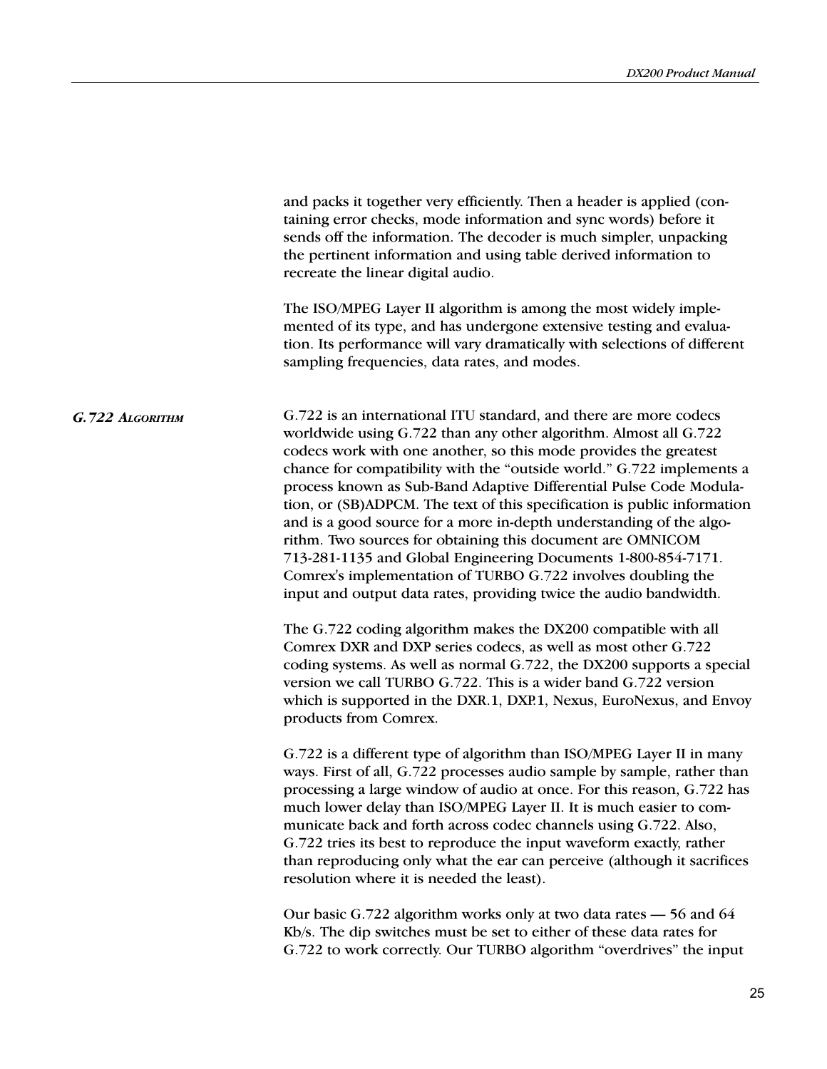|                 | and packs it together very efficiently. Then a header is applied (con-<br>taining error checks, mode information and sync words) before it<br>sends off the information. The decoder is much simpler, unpacking<br>the pertinent information and using table derived information to<br>recreate the linear digital audio.<br>The ISO/MPEG Layer II algorithm is among the most widely imple-<br>mented of its type, and has undergone extensive testing and evalua-<br>tion. Its performance will vary dramatically with selections of different<br>sampling frequencies, data rates, and modes.                                                                                                                                                                                |
|-----------------|---------------------------------------------------------------------------------------------------------------------------------------------------------------------------------------------------------------------------------------------------------------------------------------------------------------------------------------------------------------------------------------------------------------------------------------------------------------------------------------------------------------------------------------------------------------------------------------------------------------------------------------------------------------------------------------------------------------------------------------------------------------------------------|
| G.722 ALGORITHM | G.722 is an international ITU standard, and there are more codecs<br>worldwide using G.722 than any other algorithm. Almost all G.722<br>codecs work with one another, so this mode provides the greatest<br>chance for compatibility with the "outside world." G.722 implements a<br>process known as Sub-Band Adaptive Differential Pulse Code Modula-<br>tion, or (SB)ADPCM. The text of this specification is public information<br>and is a good source for a more in-depth understanding of the algo-<br>rithm. Two sources for obtaining this document are OMNICOM<br>713-281-1135 and Global Engineering Documents 1-800-854-7171.<br>Comrex's implementation of TURBO G.722 involves doubling the<br>input and output data rates, providing twice the audio bandwidth. |
|                 | The G.722 coding algorithm makes the DX200 compatible with all<br>Comrex DXR and DXP series codecs, as well as most other G.722<br>coding systems. As well as normal G.722, the DX200 supports a special<br>version we call TURBO G.722. This is a wider band G.722 version<br>which is supported in the DXR.1, DXP.1, Nexus, EuroNexus, and Envoy<br>products from Comrex.                                                                                                                                                                                                                                                                                                                                                                                                     |
|                 | G.722 is a different type of algorithm than ISO/MPEG Layer II in many<br>ways. First of all, G.722 processes audio sample by sample, rather than<br>processing a large window of audio at once. For this reason, G.722 has<br>much lower delay than ISO/MPEG Layer II. It is much easier to com-<br>municate back and forth across codec channels using G.722. Also,<br>G.722 tries its best to reproduce the input waveform exactly, rather<br>than reproducing only what the ear can perceive (although it sacrifices<br>resolution where it is needed the least).                                                                                                                                                                                                            |
|                 | Our basic G.722 algorithm works only at two data rates – 56 and 64<br>Kb/s. The dip switches must be set to either of these data rates for<br>G.722 to work correctly. Our TURBO algorithm "overdrives" the input                                                                                                                                                                                                                                                                                                                                                                                                                                                                                                                                                               |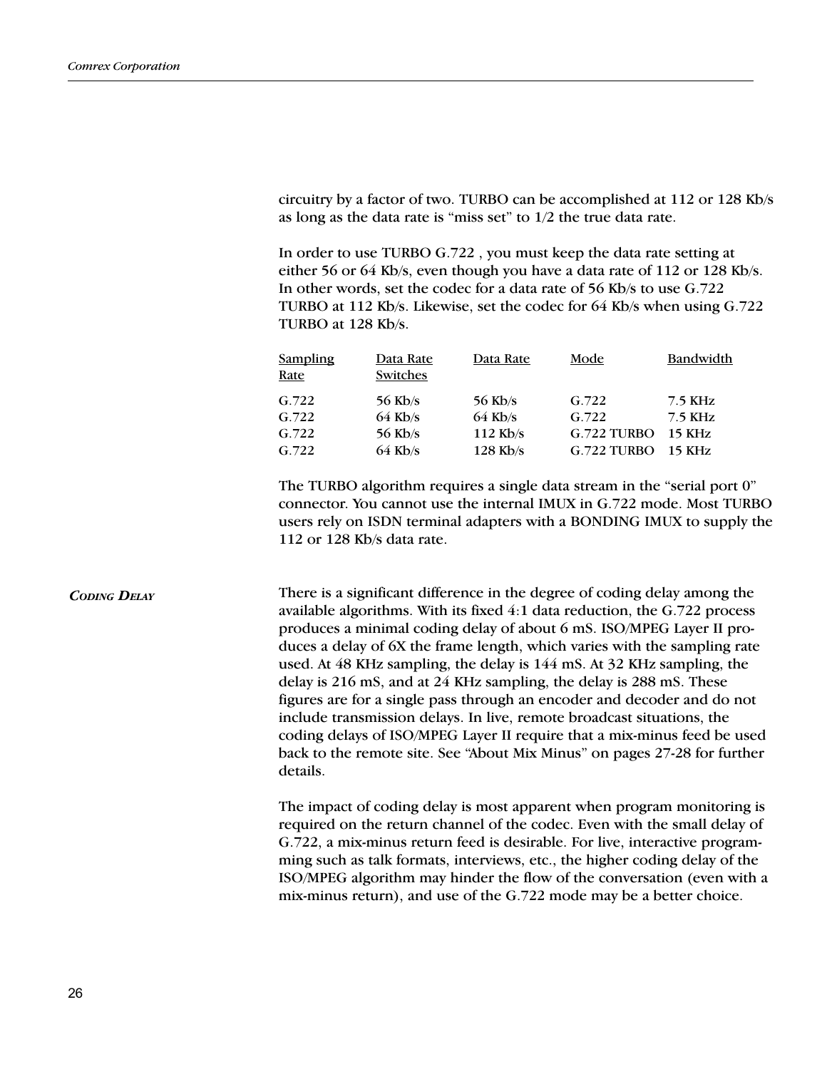circuitry by a factor of two. TURBO can be accomplished at 112 or 128 Kb/s as long as the data rate is "miss set" to  $1/2$  the true data rate.

In order to use TURBO G.722 , you must keep the data rate setting at either 56 or 64 Kb/s, even though you have a data rate of 112 or 128 Kb/s. In other words, set the codec for a data rate of 56 Kb/s to use G.722 TURBO at 112 Kb/s. Likewise, set the codec for 64 Kb/s when using G.722 TURBO at 128 Kb/s.

| <b>Sampling</b> | Data Rate | Data Rate  | Mode        | Bandwidth |
|-----------------|-----------|------------|-------------|-----------|
| Rate            | Switches  |            |             |           |
| G.722           | 56 Kb/s   | 56 Kb/s    | G.722       | 7.5 KHz   |
| G.722           | $64$ Kb/s | $64$ Kb/s  | G.722       | 7.5 KHz   |
| G.722           | 56 Kb/s   | $112$ Kb/s | G.722 TURBO | $15$ KHz  |
| G.722           | $64$ Kb/s | $128$ Kb/s | G.722 TURBO | $15$ KHz  |

The TURBO algorithm requires a single data stream in the "serial port 0" connector. You cannot use the internal IMUX in G.722 mode. Most TURBO users rely on ISDN terminal adapters with a BONDING IMUX to supply the 112 or 128 Kb/s data rate.

CODING DELAY There is a significant difference in the degree of coding delay among the available algorithms. With its fixed  $4:1$  data reduction, the G.722 process produces a minimal coding delay of about 6 mS. ISO/MPEG Layer II produces a delay of 6X the frame length, which varies with the sampling rate used. At 48 KHz sampling, the delay is 144 mS. At 32 KHz sampling, the delay is 216 mS, and at 24 KHz sampling, the delay is 288 mS. These figures are for a single pass through an encoder and decoder and do not include transmission delays. In live, remote broadcast situations, the coding delays of ISO/MPEG Layer II require that a mix-minus feed be used back to the remote site. See "About Mix Minus" on pages 27-28 for further details.

> The impact of coding delay is most apparent when program monitoring is required on the return channel of the codec. Even with the small delay of G.722, a mix-minus return feed is desirable. For live, interactive programming such as talk formats, interviews, etc., the higher coding delay of the ISO/MPEG algorithm may hinder the flow of the conversation (even with a mix-minus return), and use of the G.722 mode may be a better choice.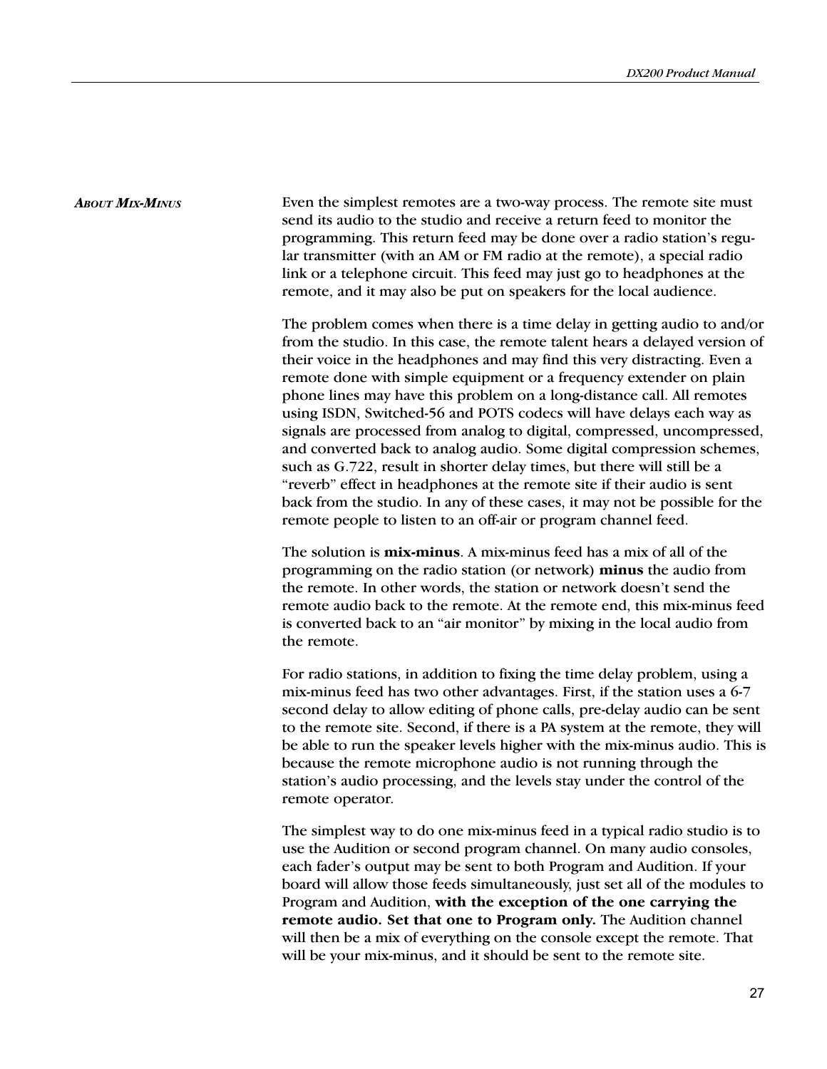ABOUT MIX-MINUS Even the simplest remotes are a two-way process. The remote site must send its audio to the studio and receive a return feed to monitor the programming. This return feed may be done over a radio station's regular transmitter (with an AM or FM radio at the remote), a special radio link or a telephone circuit. This feed may just go to headphones at the remote, and it may also be put on speakers for the local audience.

> The problem comes when there is a time delay in getting audio to and/or from the studio. In this case, the remote talent hears a delayed version of their voice in the headphones and may find this very distracting. Even a remote done with simple equipment or a frequency extender on plain phone lines may have this problem on a long-distance call. All remotes using ISDN, Switched-56 and POTS codecs will have delays each way as signals are processed from analog to digital, compressed, uncompressed, and converted back to analog audio. Some digital compression schemes, such as G.722, result in shorter delay times, but there will still be a "reverb" effect in headphones at the remote site if their audio is sent back from the studio. In any of these cases, it may not be possible for the remote people to listen to an off-air or program channel feed.

> The solution is mix-minus. A mix-minus feed has a mix of all of the programming on the radio station (or network) minus the audio from the remote. In other words, the station or network doesn't send the remote audio back to the remote. At the remote end, this mix-minus feed is converted back to an "air monitor" by mixing in the local audio from the remote.

> For radio stations, in addition to fixing the time delay problem, using a mix-minus feed has two other advantages. First, if the station uses a 6-7 second delay to allow editing of phone calls, pre-delay audio can be sent to the remote site. Second, if there is a PA system at the remote, they will be able to run the speaker levels higher with the mix-minus audio. This is because the remote microphone audio is not running through the station's audio processing, and the levels stay under the control of the remote operator.

> The simplest way to do one mix-minus feed in a typical radio studio is to use the Audition or second program channel. On many audio consoles, each fader's output may be sent to both Program and Audition. If your board will allow those feeds simultaneously, just set all of the modules to Program and Audition, with the exception of the one carrying the remote audio. Set that one to Program only. The Audition channel will then be a mix of everything on the console except the remote. That will be your mix-minus, and it should be sent to the remote site.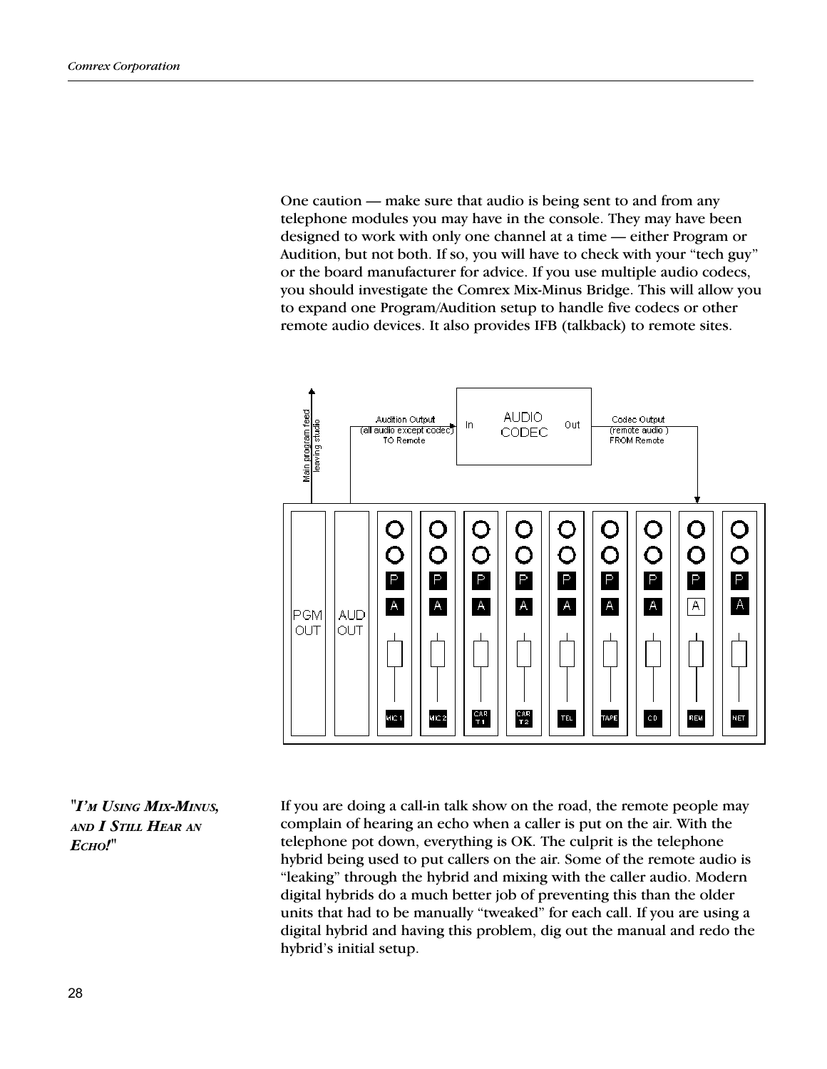One caution  $-$  make sure that audio is being sent to and from any telephone modules you may have in the console. They may have been designed to work with only one channel at a time — either Program or Audition, but not both. If so, you will have to check with your "tech guy" or the board manufacturer for advice. If you use multiple audio codecs, you should investigate the Comrex Mix-Minus Bridge. This will allow you to expand one Program/Audition setup to handle five codecs or other remote audio devices. It also provides IFB (talkback) to remote sites.



"I'M USING MIX-MINUS, AND I STILL HEAR AN ECHO!"

If you are doing a call-in talk show on the road, the remote people may complain of hearing an echo when a caller is put on the air. With the telephone pot down, everything is OK. The culprit is the telephone hybrid being used to put callers on the air. Some of the remote audio is "leaking" through the hybrid and mixing with the caller audio. Modern digital hybrids do a much better job of preventing this than the older units that had to be manually "tweaked" for each call. If you are using a digital hybrid and having this problem, dig out the manual and redo the hybrid's initial setup.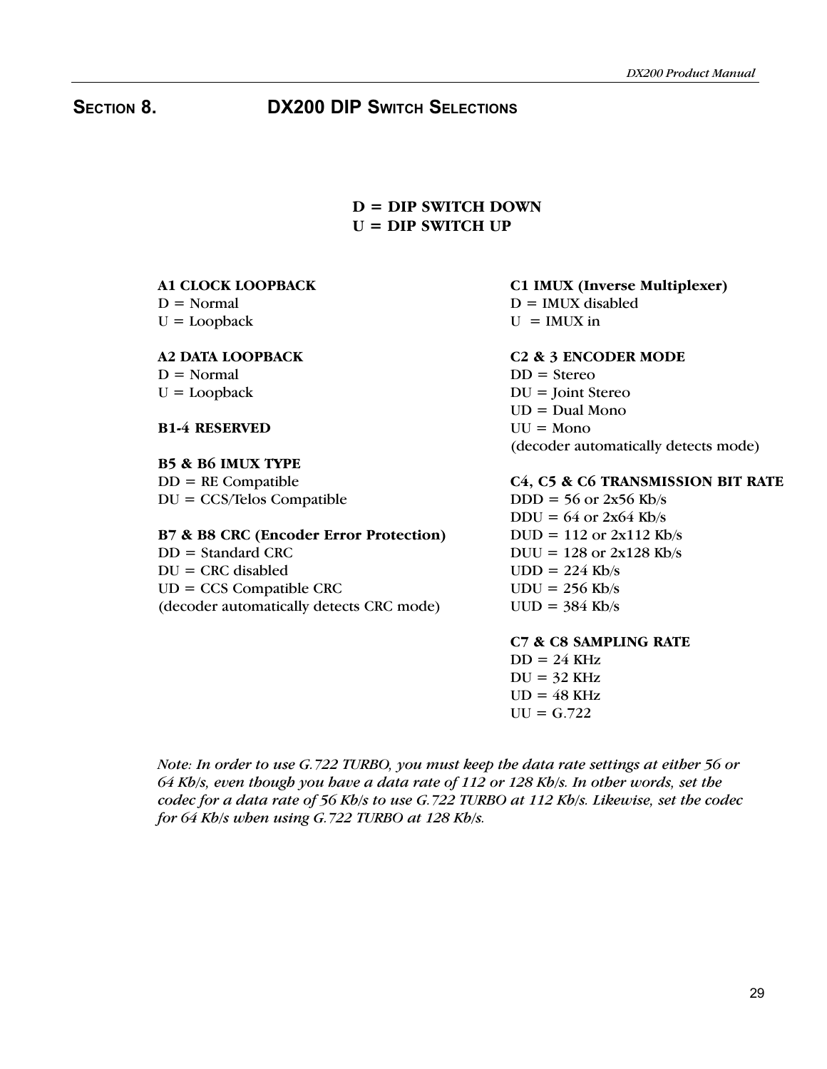# SECTION 8. DX200 DIP SWITCH SELECTIONS

# $D = DIP SWITCH DOWN$  $U = DIP SWITCH UP$

### A1 CLOCK LOOPBACK  $D = Normal$

 $U =$ Loopback

# A2 DATA LOOPBACK

 $D = Normal$  $U =$ Loopback

# B1-4 RESERVED

# B5 & B6 IMUX TYPE

 $DD = RE$  Compatible DU = CCS/Telos Compatible

# B7 & B8 CRC (Encoder Error Protection)

 $DD = Standard CRC$  $DU = CRC$  disabled UD = CCS Compatible CRC (decoder automatically detects CRC mode)

# C1 IMUX (Inverse Multiplexer)

 $D = IMUX$  disabled

 $U = IMIIX$  in

## C2 & 3 ENCODER MODE

 $DD =$ Stereo DU = Joint Stereo  $UD = Dual Mono$  $UU = Mono$ (decoder automatically detects mode)

# C4, C5 & C6 TRANSMISSION BIT RATE

 $DDD = 56$  or  $2x56$  Kb/s  $DDU = 64$  or  $2x64$  Kb/s  $DUD = 112$  or  $2x112$  Kb/s  $DUU = 128$  or  $2x128$  Kb/s  $UDD = 224$  Kb/s  $UDU = 256$  Kb/s  $UUD = 384$  Kb/s

### C7 & C8 SAMPLING RATE  $DD = 24 \text{ KHz}$

 $DU = 32$  KHz  $UD = 48$  KHz  $UU = G.722$ 

Note: In order to use G.722 TURBO, you must keep the data rate settings at either 56 or 64 Kb/s, even though you have a data rate of 112 or 128 Kb/s. In other words, set the codec for a data rate of 56 Kb/s to use G.722 TURBO at 112 Kb/s. Likewise, set the codec for 64 Kb/s when using G.722 TURBO at 128 Kb/s.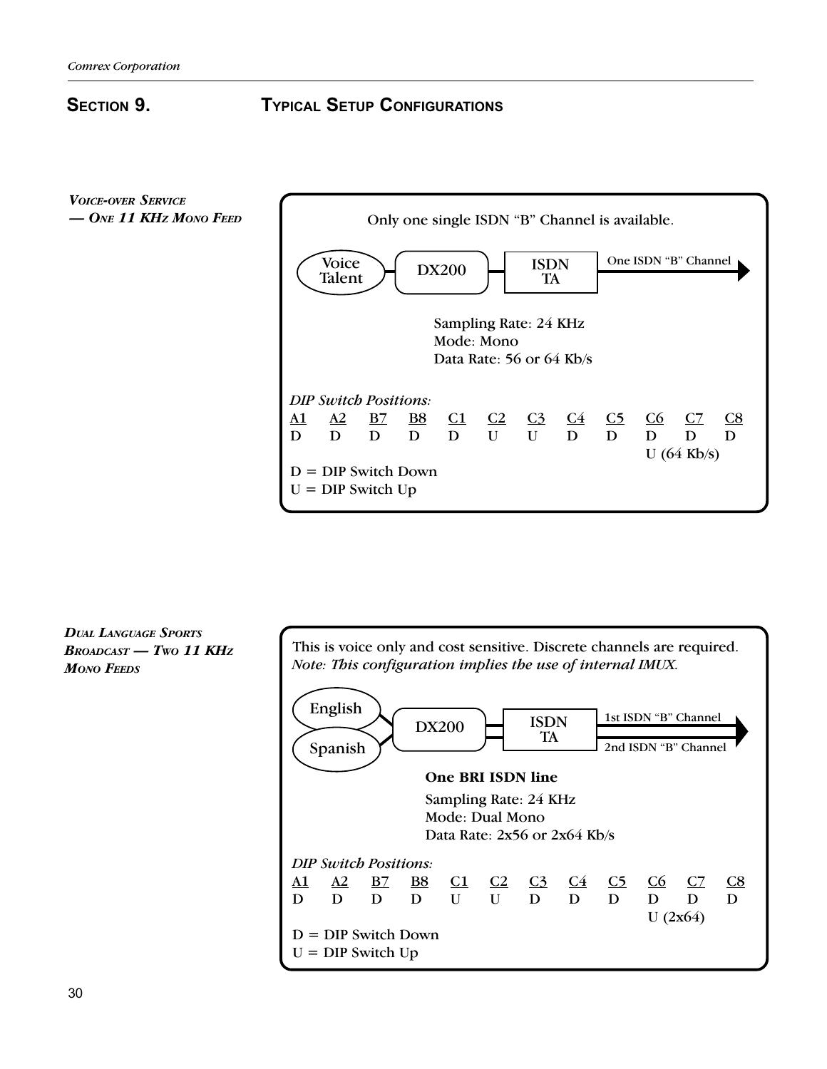# SECTION 9. **TYPICAL SETUP CONFIGURATIONS**

VOICE-OVER SERVICE - ONE 11 KHz MONO FEED



DUAL LANGUAGE SPORTS  $B$ ROADCAST - Two 11 KHz **MONO FEEDS** 

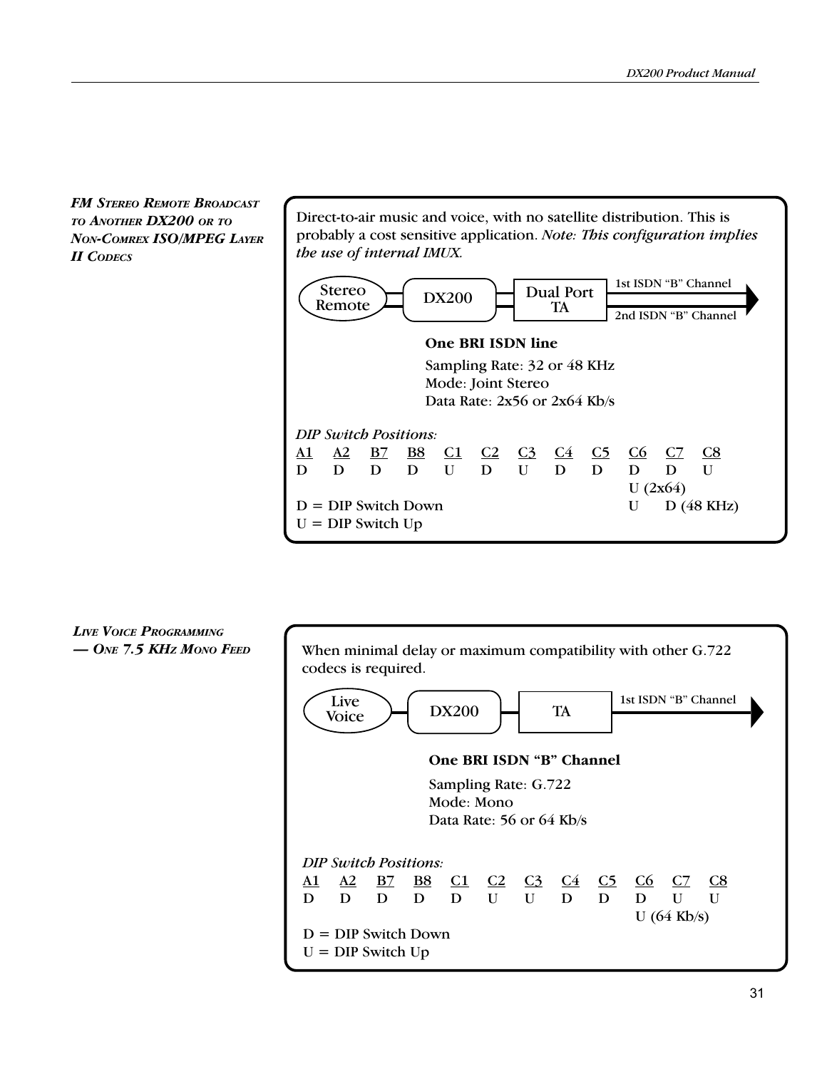FM STEREO REMOTE BROADCAST TO ANOTHER DX200 OR TO NON-COMREX ISO/MPEG LAYER II CODECS

Direct-to-air music and voice, with no satellite distribution. This is probably a cost sensitive application. Note: This configuration implies the use of internal IMUX. One BRI ISDN line 2nd ISDN "B" Channel Dual Port 1st ISDN "B" Channel Stereo (d. 1932)<br>Remote (d. 1932)<br>TA TA Stereo<br>Remote

Sampling Rate: 32 or 48 KHz Mode: Joint Stereo Data Rate: 2x56 or 2x64 Kb/s



LIVE VOICE PROGRAMMING  $-$  One 7.5 KHz Mono Feed

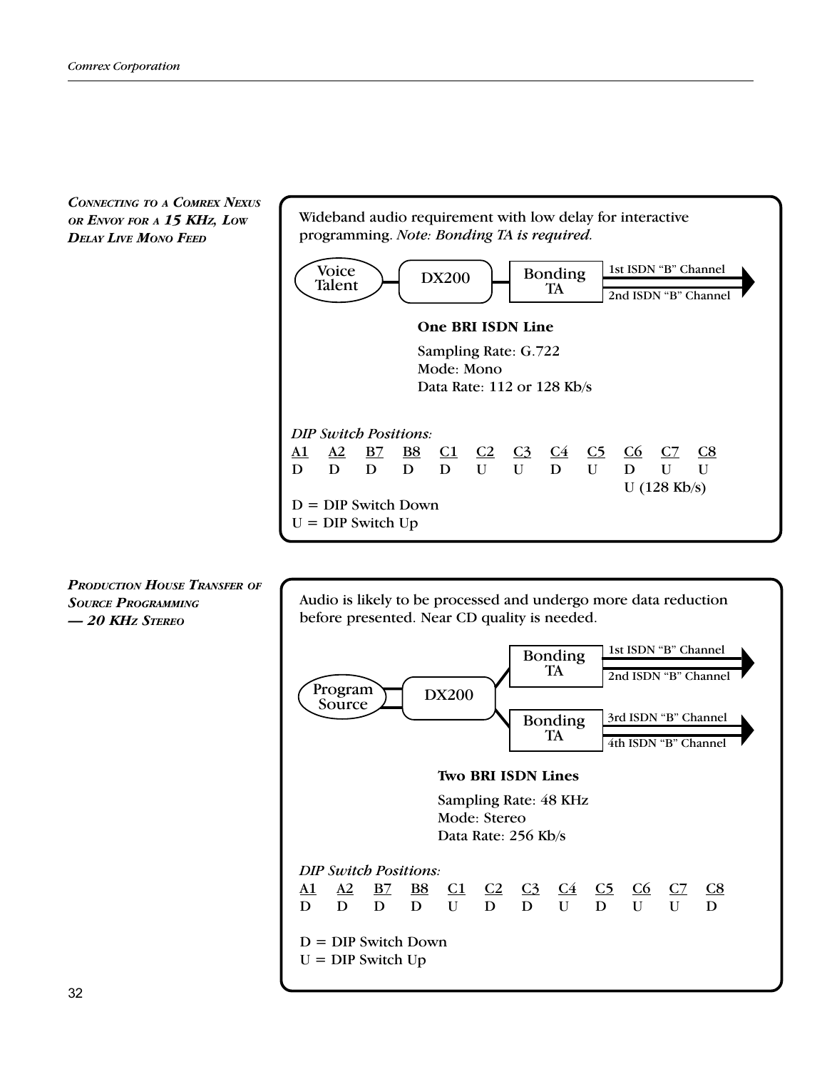CONNECTING TO A COMREX NEXUS OR ENVOY FOR A 15 KHz, LOW DELAY LIVE MONO FEED



PRODUCTION HOUSE TRANSFER OF SOURCE PROGRAMMING 20 KHZ STEREO

Audio is likely to be processed and undergo more data reduction before presented. Near CD quality is needed.

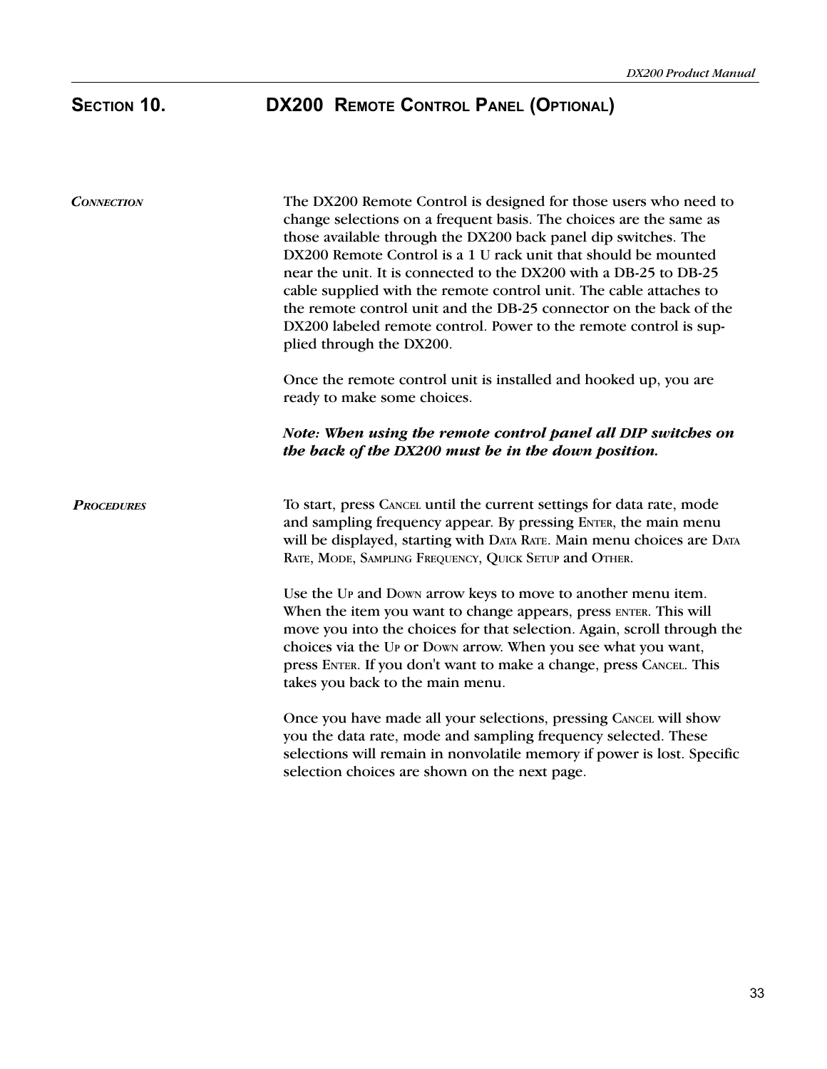# SECTION 10. DX200 REMOTE CONTROL PANEL (OPTIONAL)

| <b>CONNECTION</b> | The DX200 Remote Control is designed for those users who need to<br>change selections on a frequent basis. The choices are the same as<br>those available through the DX200 back panel dip switches. The<br>DX200 Remote Control is a 1 U rack unit that should be mounted<br>near the unit. It is connected to the DX200 with a DB-25 to DB-25<br>cable supplied with the remote control unit. The cable attaches to<br>the remote control unit and the DB-25 connector on the back of the<br>DX200 labeled remote control. Power to the remote control is sup-<br>plied through the DX200.<br>Once the remote control unit is installed and hooked up, you are |
|-------------------|------------------------------------------------------------------------------------------------------------------------------------------------------------------------------------------------------------------------------------------------------------------------------------------------------------------------------------------------------------------------------------------------------------------------------------------------------------------------------------------------------------------------------------------------------------------------------------------------------------------------------------------------------------------|
|                   | ready to make some choices.<br>Note: When using the remote control panel all DIP switches on<br>the back of the DX200 must be in the down position.                                                                                                                                                                                                                                                                                                                                                                                                                                                                                                              |
| <b>PROCEDURES</b> | To start, press CANCEL until the current settings for data rate, mode<br>and sampling frequency appear. By pressing ENTER, the main menu<br>will be displayed, starting with DATA RATE. Main menu choices are DATA<br>RATE, MODE, SAMPLING FREQUENCY, QUICK SETUP and OTHER.                                                                                                                                                                                                                                                                                                                                                                                     |
|                   | Use the UP and Down arrow keys to move to another menu item.<br>When the item you want to change appears, press ENTER. This will<br>move you into the choices for that selection. Again, scroll through the<br>choices via the UP or Down arrow. When you see what you want,<br>press ENTER. If you don't want to make a change, press CANCEL. This<br>takes you back to the main menu.                                                                                                                                                                                                                                                                          |
|                   | Once you have made all your selections, pressing CANCEL will show<br>you the data rate, mode and sampling frequency selected. These<br>selections will remain in nonvolatile memory if power is lost. Specific<br>selection choices are shown on the next page.                                                                                                                                                                                                                                                                                                                                                                                                  |